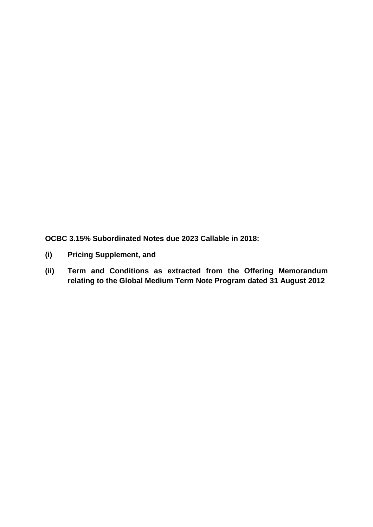**OCBC 3.15% Subordinated Notes due 2023 Callable in 2018:**

- **(i) Pricing Supplement, and**
- **(ii) Term and Conditions as extracted from the Offering Memorandum relating to the Global Medium Term Note Program dated 31 August 2012**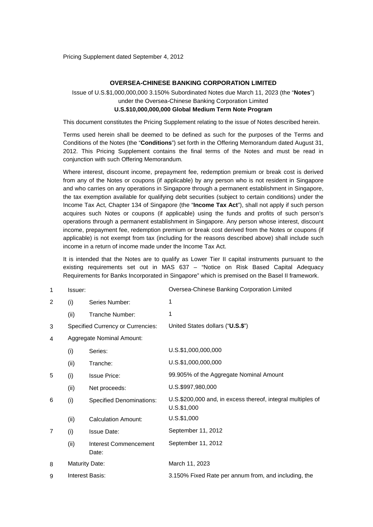Pricing Supplement dated September 4, 2012

#### **OVERSEA-CHINESE BANKING CORPORATION LIMITED**

# Issue of U.S.\$1,000,000,000 3.150% Subordinated Notes due March 11, 2023 (the "**Notes**") under the Oversea-Chinese Banking Corporation Limited **U.S.\$10,000,000,000 Global Medium Term Note Program**

This document constitutes the Pricing Supplement relating to the issue of Notes described herein.

Terms used herein shall be deemed to be defined as such for the purposes of the Terms and Conditions of the Notes (the "**Conditions**") set forth in the Offering Memorandum dated August 31, 2012. This Pricing Supplement contains the final terms of the Notes and must be read in conjunction with such Offering Memorandum.

Where interest, discount income, prepayment fee, redemption premium or break cost is derived from any of the Notes or coupons (if applicable) by any person who is not resident in Singapore and who carries on any operations in Singapore through a permanent establishment in Singapore, the tax exemption available for qualifying debt securities (subject to certain conditions) under the Income Tax Act, Chapter 134 of Singapore (the "**Income Tax Act**"), shall not apply if such person acquires such Notes or coupons (if applicable) using the funds and profits of such person's operations through a permanent establishment in Singapore. Any person whose interest, discount income, prepayment fee, redemption premium or break cost derived from the Notes or coupons (if applicable) is not exempt from tax (including for the reasons described above) shall include such income in a return of income made under the Income Tax Act.

It is intended that the Notes are to qualify as Lower Tier II capital instruments pursuant to the existing requirements set out in MAS 637 – "Notice on Risk Based Capital Adequacy Requirements for Banks Incorporated in Singapore" which is premised on the Basel II framework.

| 1              | Issuer:                   |                                          | Oversea-Chinese Banking Corporation Limited                                   |
|----------------|---------------------------|------------------------------------------|-------------------------------------------------------------------------------|
| 2              | (i)                       | Series Number:                           | 1                                                                             |
|                | (ii)                      | Tranche Number:                          | 1                                                                             |
| 3              |                           | <b>Specified Currency or Currencies:</b> | United States dollars ("U.S.\$")                                              |
| 4              | Aggregate Nominal Amount: |                                          |                                                                               |
|                | (i)                       | Series:                                  | U.S.\$1,000,000,000                                                           |
|                | (ii)                      | Tranche:                                 | U.S.\$1,000,000,000                                                           |
| 5              | (i)                       | <b>Issue Price:</b>                      | 99.905% of the Aggregate Nominal Amount                                       |
|                | (ii)                      | Net proceeds:                            | U.S.\$997,980,000                                                             |
| 6              | (i)                       | <b>Specified Denominations:</b>          | U.S.\$200,000 and, in excess thereof, integral multiples of<br>$U.S.$ \$1,000 |
|                | (ii)                      | <b>Calculation Amount:</b>               | $U.S.$ \$1,000                                                                |
| $\overline{7}$ | (i)                       | <b>Issue Date:</b>                       | September 11, 2012                                                            |
|                | (ii)                      | Interest Commencement<br>Date:           | September 11, 2012                                                            |
| 8              | <b>Maturity Date:</b>     |                                          | March 11, 2023                                                                |
| 9              | Interest Basis:           |                                          | 3.150% Fixed Rate per annum from, and including, the                          |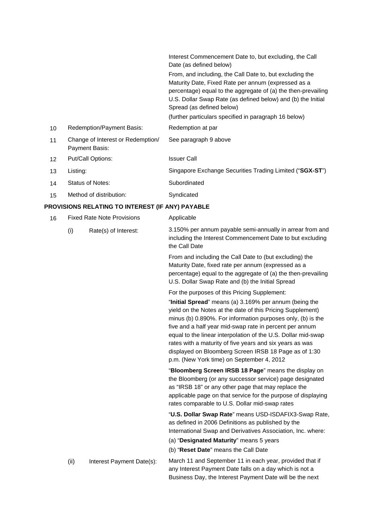|                 |                                                     | Interest Commencement Date to, but excluding, the Call<br>Date (as defined below)                                                                                                                                                                                             |
|-----------------|-----------------------------------------------------|-------------------------------------------------------------------------------------------------------------------------------------------------------------------------------------------------------------------------------------------------------------------------------|
|                 |                                                     | From, and including, the Call Date to, but excluding the<br>Maturity Date, Fixed Rate per annum (expressed as a<br>percentage) equal to the aggregate of (a) the then-prevailing<br>U.S. Dollar Swap Rate (as defined below) and (b) the Initial<br>Spread (as defined below) |
|                 |                                                     | (further particulars specified in paragraph 16 below)                                                                                                                                                                                                                         |
| 10              | Redemption/Payment Basis:                           | Redemption at par                                                                                                                                                                                                                                                             |
| 11              | Change of Interest or Redemption/<br>Payment Basis: | See paragraph 9 above                                                                                                                                                                                                                                                         |
| 12 <sup>2</sup> | Put/Call Options:                                   | <b>Issuer Call</b>                                                                                                                                                                                                                                                            |
| 13              | Listing:                                            | Singapore Exchange Securities Trading Limited ("SGX-ST")                                                                                                                                                                                                                      |
| 14              | Status of Notes:                                    | Subordinated                                                                                                                                                                                                                                                                  |
| 15              | Method of distribution:                             | Syndicated                                                                                                                                                                                                                                                                    |

# **PROVISIONS RELATING TO INTEREST (IF ANY) PAYABLE**

| <b>Fixed Rate Note Provisions</b><br>16 |      |                           | Applicable                                                                                                                                                                                                                                                                                                                                                                                                                                                                                                                        |
|-----------------------------------------|------|---------------------------|-----------------------------------------------------------------------------------------------------------------------------------------------------------------------------------------------------------------------------------------------------------------------------------------------------------------------------------------------------------------------------------------------------------------------------------------------------------------------------------------------------------------------------------|
|                                         | (i)  | Rate(s) of Interest:      | 3.150% per annum payable semi-annually in arrear from and<br>including the Interest Commencement Date to but excluding<br>the Call Date                                                                                                                                                                                                                                                                                                                                                                                           |
|                                         |      |                           | From and including the Call Date to (but excluding) the<br>Maturity Date, fixed rate per annum (expressed as a<br>percentage) equal to the aggregate of (a) the then-prevailing<br>U.S. Dollar Swap Rate and (b) the Initial Spread                                                                                                                                                                                                                                                                                               |
|                                         |      |                           | For the purposes of this Pricing Supplement:<br>"Initial Spread" means (a) 3.169% per annum (being the<br>yield on the Notes at the date of this Pricing Supplement)<br>minus (b) 0.890%. For information purposes only, (b) is the<br>five and a half year mid-swap rate in percent per annum<br>equal to the linear interpolation of the U.S. Dollar mid-swap<br>rates with a maturity of five years and six years as was<br>displayed on Bloomberg Screen IRSB 18 Page as of 1:30<br>p.m. (New York time) on September 4, 2012 |
|                                         |      |                           | "Bloomberg Screen IRSB 18 Page" means the display on<br>the Bloomberg (or any successor service) page designated<br>as "IRSB 18" or any other page that may replace the<br>applicable page on that service for the purpose of displaying<br>rates comparable to U.S. Dollar mid-swap rates                                                                                                                                                                                                                                        |
|                                         |      |                           | "U.S. Dollar Swap Rate" means USD-ISDAFIX3-Swap Rate,<br>as defined in 2006 Definitions as published by the<br>International Swap and Derivatives Association, Inc. where:                                                                                                                                                                                                                                                                                                                                                        |
|                                         |      |                           | (a) "Designated Maturity" means 5 years                                                                                                                                                                                                                                                                                                                                                                                                                                                                                           |
|                                         |      |                           | (b) "Reset Date" means the Call Date                                                                                                                                                                                                                                                                                                                                                                                                                                                                                              |
|                                         | (ii) | Interest Payment Date(s): | March 11 and September 11 in each year, provided that if<br>any Interest Payment Date falls on a day which is not a<br>Business Day, the Interest Payment Date will be the next                                                                                                                                                                                                                                                                                                                                                   |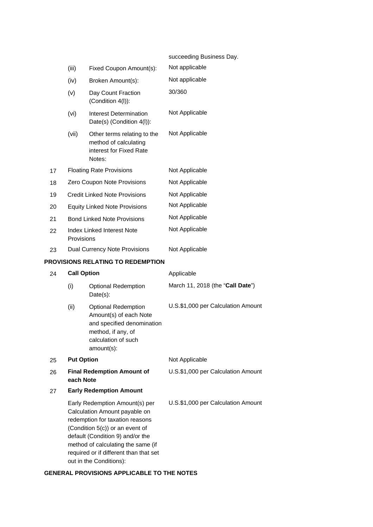|    |                    |                                                                                                                                                                                                                                                                                      | succeeding Business Day.           |
|----|--------------------|--------------------------------------------------------------------------------------------------------------------------------------------------------------------------------------------------------------------------------------------------------------------------------------|------------------------------------|
|    | (iii)              | Fixed Coupon Amount(s):                                                                                                                                                                                                                                                              | Not applicable                     |
|    | (iv)               | Broken Amount(s):                                                                                                                                                                                                                                                                    | Not applicable                     |
|    | (v)                | Day Count Fraction<br>(Condition 4(I)):                                                                                                                                                                                                                                              | 30/360                             |
|    | (vi)               | <b>Interest Determination</b><br>Date(s) (Condition 4(l)):                                                                                                                                                                                                                           | Not Applicable                     |
|    | (vii)              | Other terms relating to the<br>method of calculating<br>interest for Fixed Rate<br>Notes:                                                                                                                                                                                            | Not Applicable                     |
| 17 |                    | <b>Floating Rate Provisions</b>                                                                                                                                                                                                                                                      | Not Applicable                     |
| 18 |                    | Zero Coupon Note Provisions                                                                                                                                                                                                                                                          | Not Applicable                     |
| 19 |                    | <b>Credit Linked Note Provisions</b>                                                                                                                                                                                                                                                 | Not Applicable                     |
| 20 |                    | <b>Equity Linked Note Provisions</b>                                                                                                                                                                                                                                                 | Not Applicable                     |
| 21 |                    | <b>Bond Linked Note Provisions</b>                                                                                                                                                                                                                                                   | Not Applicable                     |
| 22 | Provisions         | <b>Index Linked Interest Note</b>                                                                                                                                                                                                                                                    | Not Applicable                     |
| 23 |                    | Dual Currency Note Provisions                                                                                                                                                                                                                                                        | Not Applicable                     |
|    |                    | <b>PROVISIONS RELATING TO REDEMPTION</b>                                                                                                                                                                                                                                             |                                    |
| 24 | <b>Call Option</b> |                                                                                                                                                                                                                                                                                      | Applicable                         |
|    | (i)                | <b>Optional Redemption</b><br>Date(s):                                                                                                                                                                                                                                               | March 11, 2018 (the "Call Date")   |
|    | (ii)               | <b>Optional Redemption</b><br>Amount(s) of each Note<br>and specified denomination<br>method, if any, of<br>calculation of such<br>amount(s):                                                                                                                                        | U.S.\$1,000 per Calculation Amount |
| 25 | <b>Put Option</b>  |                                                                                                                                                                                                                                                                                      | Not Applicable                     |
| 26 | each Note          | <b>Final Redemption Amount of</b>                                                                                                                                                                                                                                                    | U.S.\$1,000 per Calculation Amount |
| 27 |                    | <b>Early Redemption Amount</b>                                                                                                                                                                                                                                                       |                                    |
|    |                    | Early Redemption Amount(s) per<br>Calculation Amount payable on<br>redemption for taxation reasons<br>(Condition 5(c)) or an event of<br>default (Condition 9) and/or the<br>method of calculating the same (if<br>required or if different than that set<br>out in the Conditions): | U.S.\$1,000 per Calculation Amount |

# **GENERAL PROVISIONS APPLICABLE TO THE NOTES**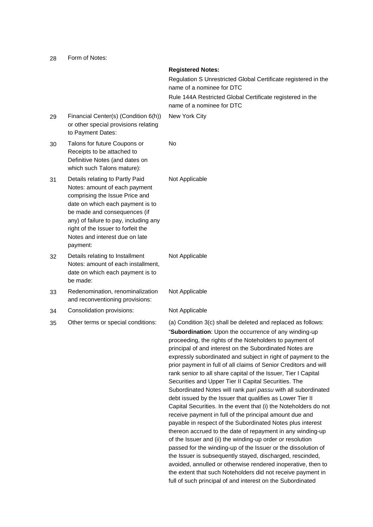28 Form of Notes:

|    |                                                                                                                                                                                                                                                                                                     | <b>Registered Notes:</b><br>Regulation S Unrestricted Global Certificate registered in the<br>name of a nominee for DTC<br>Rule 144A Restricted Global Certificate registered in the<br>name of a nominee for DTC                                                                                                                                                                                                                                                                                                                                                                                                                                                                                                                                                                                                                                                                                                                                                                                                                                                                                                                                                                                                                                                                           |
|----|-----------------------------------------------------------------------------------------------------------------------------------------------------------------------------------------------------------------------------------------------------------------------------------------------------|---------------------------------------------------------------------------------------------------------------------------------------------------------------------------------------------------------------------------------------------------------------------------------------------------------------------------------------------------------------------------------------------------------------------------------------------------------------------------------------------------------------------------------------------------------------------------------------------------------------------------------------------------------------------------------------------------------------------------------------------------------------------------------------------------------------------------------------------------------------------------------------------------------------------------------------------------------------------------------------------------------------------------------------------------------------------------------------------------------------------------------------------------------------------------------------------------------------------------------------------------------------------------------------------|
| 29 | Financial Center(s) (Condition 6(h))<br>or other special provisions relating<br>to Payment Dates:                                                                                                                                                                                                   | New York City                                                                                                                                                                                                                                                                                                                                                                                                                                                                                                                                                                                                                                                                                                                                                                                                                                                                                                                                                                                                                                                                                                                                                                                                                                                                               |
| 30 | Talons for future Coupons or<br>Receipts to be attached to<br>Definitive Notes (and dates on<br>which such Talons mature):                                                                                                                                                                          | No.                                                                                                                                                                                                                                                                                                                                                                                                                                                                                                                                                                                                                                                                                                                                                                                                                                                                                                                                                                                                                                                                                                                                                                                                                                                                                         |
| 31 | Details relating to Partly Paid<br>Notes: amount of each payment<br>comprising the Issue Price and<br>date on which each payment is to<br>be made and consequences (if<br>any) of failure to pay, including any<br>right of the Issuer to forfeit the<br>Notes and interest due on late<br>payment: | Not Applicable                                                                                                                                                                                                                                                                                                                                                                                                                                                                                                                                                                                                                                                                                                                                                                                                                                                                                                                                                                                                                                                                                                                                                                                                                                                                              |
| 32 | Details relating to Installment<br>Notes: amount of each installment,<br>date on which each payment is to<br>be made:                                                                                                                                                                               | Not Applicable                                                                                                                                                                                                                                                                                                                                                                                                                                                                                                                                                                                                                                                                                                                                                                                                                                                                                                                                                                                                                                                                                                                                                                                                                                                                              |
| 33 | Redenomination, renominalization<br>and reconventioning provisions:                                                                                                                                                                                                                                 | Not Applicable                                                                                                                                                                                                                                                                                                                                                                                                                                                                                                                                                                                                                                                                                                                                                                                                                                                                                                                                                                                                                                                                                                                                                                                                                                                                              |
| 34 | Consolidation provisions:                                                                                                                                                                                                                                                                           | Not Applicable                                                                                                                                                                                                                                                                                                                                                                                                                                                                                                                                                                                                                                                                                                                                                                                                                                                                                                                                                                                                                                                                                                                                                                                                                                                                              |
| 35 | Other terms or special conditions:                                                                                                                                                                                                                                                                  | (a) Condition 3(c) shall be deleted and replaced as follows:<br>"Subordination: Upon the occurrence of any winding-up<br>proceeding, the rights of the Noteholders to payment of<br>principal of and interest on the Subordinated Notes are<br>expressly subordinated and subject in right of payment to the<br>prior payment in full of all claims of Senior Creditors and will<br>rank senior to all share capital of the Issuer, Tier I Capital<br>Securities and Upper Tier II Capital Securities. The<br>Subordinated Notes will rank pari passu with all subordinated<br>debt issued by the Issuer that qualifies as Lower Tier II<br>Capital Securities. In the event that (i) the Noteholders do not<br>receive payment in full of the principal amount due and<br>payable in respect of the Subordinated Notes plus interest<br>thereon accrued to the date of repayment in any winding-up<br>of the Issuer and (ii) the winding-up order or resolution<br>passed for the winding-up of the Issuer or the dissolution of<br>the Issuer is subsequently stayed, discharged, rescinded,<br>avoided, annulled or otherwise rendered inoperative, then to<br>the extent that such Noteholders did not receive payment in<br>full of such principal of and interest on the Subordinated |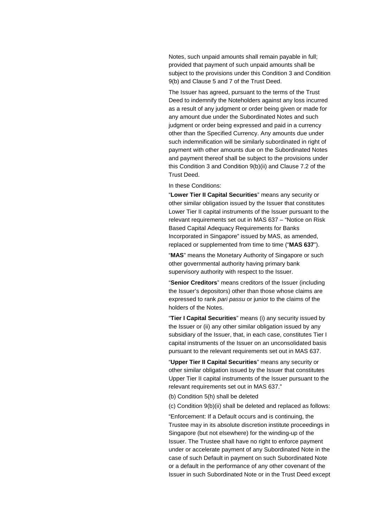Notes, such unpaid amounts shall remain payable in full; provided that payment of such unpaid amounts shall be subject to the provisions under this Condition 3 and Condition 9(b) and Clause 5 and 7 of the Trust Deed.

The Issuer has agreed, pursuant to the terms of the Trust Deed to indemnify the Noteholders against any loss incurred as a result of any judgment or order being given or made for any amount due under the Subordinated Notes and such judgment or order being expressed and paid in a currency other than the Specified Currency. Any amounts due under such indemnification will be similarly subordinated in right of payment with other amounts due on the Subordinated Notes and payment thereof shall be subject to the provisions under this Condition 3 and Condition 9(b)(ii) and Clause 7.2 of the Trust Deed.

In these Conditions:

"**Lower Tier II Capital Securities**" means any security or other similar obligation issued by the Issuer that constitutes Lower Tier II capital instruments of the Issuer pursuant to the relevant requirements set out in MAS 637 – "Notice on Risk Based Capital Adequacy Requirements for Banks Incorporated in Singapore" issued by MAS, as amended, replaced or supplemented from time to time ("**MAS 637**").

"**MAS**" means the Monetary Authority of Singapore or such other governmental authority having primary bank supervisory authority with respect to the Issuer.

"**Senior Creditors**" means creditors of the Issuer (including the Issuer's depositors) other than those whose claims are expressed to rank pari passu or junior to the claims of the holders of the Notes.

"**Tier I Capital Securities**" means (i) any security issued by the Issuer or (ii) any other similar obligation issued by any subsidiary of the Issuer, that, in each case, constitutes Tier I capital instruments of the Issuer on an unconsolidated basis pursuant to the relevant requirements set out in MAS 637.

"**Upper Tier II Capital Securities**" means any security or other similar obligation issued by the Issuer that constitutes Upper Tier II capital instruments of the Issuer pursuant to the relevant requirements set out in MAS 637."

(b) Condition 5(h) shall be deleted

(c) Condition 9(b)(ii) shall be deleted and replaced as follows:

"Enforcement: If a Default occurs and is continuing, the Trustee may in its absolute discretion institute proceedings in Singapore (but not elsewhere) for the winding-up of the Issuer. The Trustee shall have no right to enforce payment under or accelerate payment of any Subordinated Note in the case of such Default in payment on such Subordinated Note or a default in the performance of any other covenant of the Issuer in such Subordinated Note or in the Trust Deed except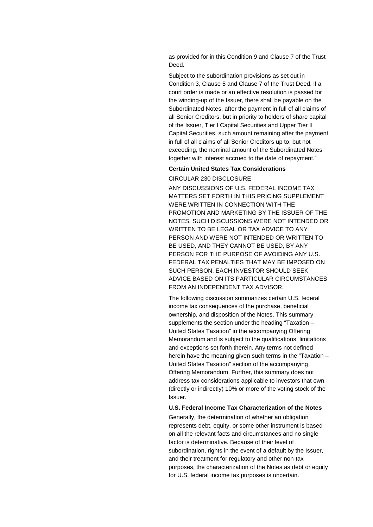as provided for in this Condition 9 and Clause 7 of the Trust Deed.

Subject to the subordination provisions as set out in Condition 3, Clause 5 and Clause 7 of the Trust Deed, if a court order is made or an effective resolution is passed for the winding-up of the Issuer, there shall be payable on the Subordinated Notes, after the payment in full of all claims of all Senior Creditors, but in priority to holders of share capital of the Issuer, Tier I Capital Securities and Upper Tier II Capital Securities, such amount remaining after the payment in full of all claims of all Senior Creditors up to, but not exceeding, the nominal amount of the Subordinated Notes together with interest accrued to the date of repayment."

#### **Certain United States Tax Considerations**

CIRCULAR 230 DISCLOSURE

ANY DISCUSSIONS OF U.S. FEDERAL INCOME TAX MATTERS SET FORTH IN THIS PRICING SUPPLEMENT WERE WRITTEN IN CONNECTION WITH THE PROMOTION AND MARKETING BY THE ISSUER OF THE NOTES. SUCH DISCUSSIONS WERE NOT INTENDED OR WRITTEN TO BE LEGAL OR TAX ADVICE TO ANY PERSON AND WERE NOT INTENDED OR WRITTEN TO BE USED, AND THEY CANNOT BE USED, BY ANY PERSON FOR THE PURPOSE OF AVOIDING ANY U.S. FEDERAL TAX PENALTIES THAT MAY BE IMPOSED ON SUCH PERSON. EACH INVESTOR SHOULD SEEK ADVICE BASED ON ITS PARTICULAR CIRCUMSTANCES FROM AN INDEPENDENT TAX ADVISOR.

The following discussion summarizes certain U.S. federal income tax consequences of the purchase, beneficial ownership, and disposition of the Notes. This summary supplements the section under the heading "Taxation – United States Taxation" in the accompanying Offering Memorandum and is subject to the qualifications, limitations and exceptions set forth therein. Any terms not defined herein have the meaning given such terms in the "Taxation – United States Taxation" section of the accompanying Offering Memorandum. Further, this summary does not address tax considerations applicable to investors that own (directly or indirectly) 10% or more of the voting stock of the Issuer.

#### **U.S. Federal Income Tax Characterization of the Notes**

Generally, the determination of whether an obligation represents debt, equity, or some other instrument is based on all the relevant facts and circumstances and no single factor is determinative. Because of their level of subordination, rights in the event of a default by the Issuer, and their treatment for regulatory and other non-tax purposes, the characterization of the Notes as debt or equity for U.S. federal income tax purposes is uncertain.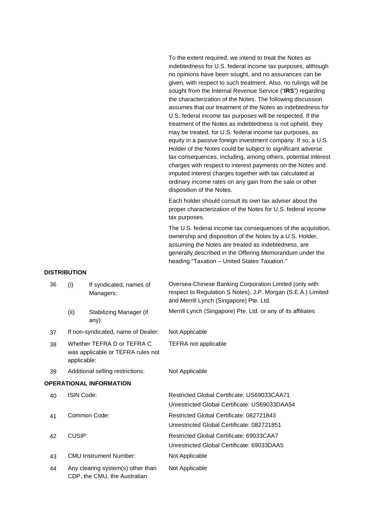To the extent required, we intend to treat the Notes as indebtedness for U.S. federal income tax purposes, although no opinions have been sought, and no assurances can be given, with respect to such treatment. Also, no rulings will be sought from the Internal Revenue Service ("**IRS**") regarding the characterization of the Notes. The following discussion assumes that our treatment of the Notes as indebtedness for U.S. federal income tax purposes will be respected. If the treatment of the Notes as indebtedness is not upheld, they may be treated, for U.S. federal income tax purposes, as equity in a passive foreign investment company. If so, a U.S. Holder of the Notes could be subject to significant adverse tax consequences, including, among others, potential interest charges with respect to interest payments on the Notes and imputed interest charges together with tax calculated at ordinary income rates on any gain from the sale or other disposition of the Notes.

Each holder should consult its own tax adviser about the proper characterization of the Notes for U.S. federal income tax purposes.

The U.S. federal income tax consequences of the acquisition, ownership and disposition of the Notes by a U.S. Holder, assuming the Notes are treated as indebtedness, are generally described in the Offering Memorandum under the heading "Taxation – United States Taxation."

#### **DISTRIBUTION**

| 36 | (i)                                                                            | If syndicated, names of<br>Managers:                              | Oversea-Chinese Banking Corporation Limited (only with<br>respect to Regulation S Notes), J.P. Morgan (S.E.A.) Limited<br>and Merrill Lynch (Singapore) Pte. Ltd. |
|----|--------------------------------------------------------------------------------|-------------------------------------------------------------------|-------------------------------------------------------------------------------------------------------------------------------------------------------------------|
|    | (ii)                                                                           | Stabilizing Manager (if<br>any):                                  | Merrill Lynch (Singapore) Pte. Ltd. or any of its affiliates                                                                                                      |
| 37 |                                                                                | If non-syndicated, name of Dealer:                                | Not Applicable                                                                                                                                                    |
| 38 | Whether TEFRA D or TEFRA C<br>was applicable or TEFRA rules not<br>applicable: |                                                                   | <b>TEFRA</b> not applicable                                                                                                                                       |
| 39 | Additional selling restrictions:                                               |                                                                   | Not Applicable                                                                                                                                                    |
|    |                                                                                | <b>OPERATIONAL INFORMATION</b>                                    |                                                                                                                                                                   |
| 40 | <b>ISIN Code:</b>                                                              |                                                                   | Restricted Global Certificate: US69033CAA71<br>Unrestricted Global Certificate: US69033DAA54                                                                      |
| 41 |                                                                                | Common Code:                                                      | Restricted Global Certificate: 082721843<br>Unrestricted Global Certificate: 082721851                                                                            |
| 42 | CUSIP:                                                                         |                                                                   | Restricted Global Certificate: 69033CAA7<br>Unrestricted Global Certificate: 69033DAA5                                                                            |
| 43 |                                                                                | <b>CMU Instrument Number:</b>                                     | Not Applicable                                                                                                                                                    |
| 44 |                                                                                | Any clearing system(s) other than<br>CDP, the CMU, the Australian | Not Applicable                                                                                                                                                    |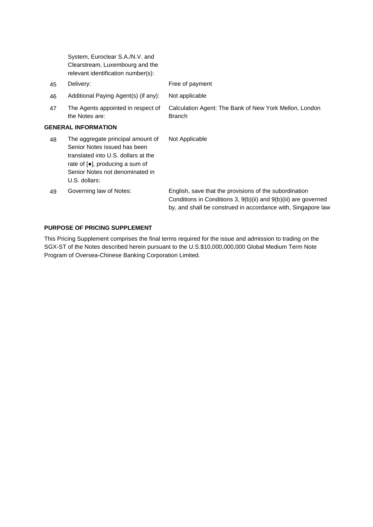|    | System, Euroclear S.A./N.V. and<br>Clearstream, Luxembourg and the<br>relevant identification number(s):                                                                                                             |                                                                                                                                                                                           |
|----|----------------------------------------------------------------------------------------------------------------------------------------------------------------------------------------------------------------------|-------------------------------------------------------------------------------------------------------------------------------------------------------------------------------------------|
| 45 | Delivery:                                                                                                                                                                                                            | Free of payment                                                                                                                                                                           |
| 46 | Additional Paying Agent(s) (if any):                                                                                                                                                                                 | Not applicable                                                                                                                                                                            |
| 47 | The Agents appointed in respect of<br>the Notes are:                                                                                                                                                                 | Calculation Agent: The Bank of New York Mellon, London<br><b>Branch</b>                                                                                                                   |
|    | <b>GENERAL INFORMATION</b>                                                                                                                                                                                           |                                                                                                                                                                                           |
| 48 | The aggregate principal amount of<br>Senior Notes issued has been<br>translated into U.S. dollars at the<br>rate of $\lceil \bullet \rceil$ , producing a sum of<br>Senior Notes not denominated in<br>U.S. dollars: | Not Applicable                                                                                                                                                                            |
| 49 | Governing law of Notes:                                                                                                                                                                                              | English, save that the provisions of the subordination<br>Conditions in Conditions 3, 9(b)(ii) and 9(b)(iii) are governed<br>by, and shall be construed in accordance with, Singapore law |

# **PURPOSE OF PRICING SUPPLEMENT**

This Pricing Supplement comprises the final terms required for the issue and admission to trading on the SGX-ST of the Notes described herein pursuant to the U.S.\$10,000,000,000 Global Medium Term Note Program of Oversea-Chinese Banking Corporation Limited.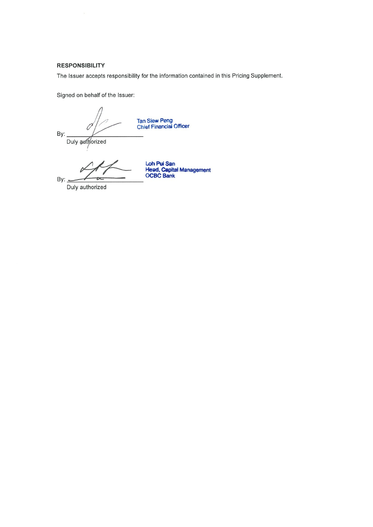# **RESPONSIBILITY**

The Issuer accepts responsibility for the information contained in this Pricing Supplement.

Signed on behalf of the Issuer:

Tan Siew Peng<br>Chief Financial Officer

By: Duly authorized

Loh Pui San<br>Head, Capital Management<br>OCBC Bank

Duly authorized

By: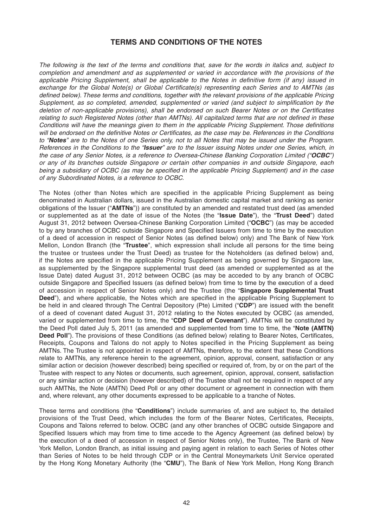# **TERMS AND CONDITIONS OF THE NOTES**

*The following is the text of the terms and conditions that, save for the words in italics and, subject to completion and amendment and as supplemented or varied in accordance with the provisions of the*  applicable Pricing Supplement, shall be applicable to the Notes in definitive form (if any) issued in *exchange for the Global Note(s) or Global Certificate(s) representing each Series and to AMTNs (as defined below). These terms and conditions, together with the relevant provisions of the applicable Pricing Supplement, as so completed, amended, supplemented or varied (and subject to simplification by the deletion of non-applicable provisions), shall be endorsed on such Bearer Notes or on the Certificates* relating to such Registered Notes (other than AMTNs). All capitalized terms that are not defined in these *Conditions will have the meanings given to them in the applicable Pricing Supplement. Those definitions* will be endorsed on the definitive Notes or Certificates, as the case may be. References in the Conditions *to "Notes" are to the Notes of one Series only, not to all Notes that may be issued under the Program. References in the Conditions to the "Issuer" are to the Issuer issuing Notes under one Series, which, in the case of any Senior Notes, is a reference to Oversea-Chinese Banking Corporation Limited ("OCBC") or any of its branches outside Singapore or certain other companies in and outside Singapore, each being a subsidiary of OCBC (as may be specified in the applicable Pricing Supplement) and in the case of any Subordinated Notes, is a reference to OCBC.*

The Notes (other than Notes which are specified in the applicable Pricing Supplement as being denominated in Australian dollars, issued in the Australian domestic capital market and ranking as senior obligations of the Issuer ("**AMTNs**")) are constituted by an amended and restated trust deed (as amended or supplemented as at the date of issue of the Notes (the "**Issue Date**"), the "**Trust Deed**") dated August 31, 2012 between Oversea-Chinese Banking Corporation Limited ("**OCBC**") (as may be acceded to by any branches of OCBC outside Singapore and Specified Issuers from time to time by the execution of a deed of accession in respect of Senior Notes (as defined below) only) and The Bank of New York Mellon, London Branch (the "Trustee", which expression shall include all persons for the time being the trustee or trustees under the Trust Deed) as trustee for the Noteholders (as defined below) and, if the Notes are specified in the applicable Pricing Supplement as being governed by Singapore law, as supplemented by the Singapore supplemental trust deed (as amended or supplemented as at the Issue Date) dated August 31, 2012 between OCBC (as may be acceded to by any branch of OCBC outside Singapore and Specified Issuers (as defined below) from time to time by the execution of a deed of accession in respect of Senior Notes only) and the Trustee (the "**Singapore Supplemental Trust Deed**"), and where applicable, the Notes which are specified in the applicable Pricing Supplement to be held in and cleared through The Central Depository (Pte) Limited ("CDP") are issued with the benefit of a deed of covenant dated August 31, 2012 relating to the Notes executed by OCBC (as amended, varied or supplemented from time to time, the "**CDP Deed of Covenant**"). AMTNs will be constituted by the Deed Poll dated July 5, 2011 (as amended and supplemented from time to time, the "**Note (AMTN) Deed Poll**"). The provisions of these Conditions (as defined below) relating to Bearer Notes, Certificates, Receipts, Coupons and Talons do not apply to Notes specified in the Pricing Supplement as being AMTNs. The Trustee is not appointed in respect of AMTNs, therefore, to the extent that these Conditions relate to AMTNs, any reference herein to the agreement, opinion, approval, consent, satisfaction or any similar action or decision (however described) being specified or required of, from, by or on the part of the Trustee with respect to any Notes or documents, such agreement, opinion, approval, consent, satisfaction or any similar action or decision (however described) of the Trustee shall not be required in respect of any such AMTNs, the Note (AMTN) Deed Poll or any other document or agreement in connection with them and, where relevant, any other documents expressed to be applicable to a tranche of Notes.

These terms and conditions (the "**Conditions**") include summaries of, and are subject to, the detailed provisions of the Trust Deed, which includes the form of the Bearer Notes, Certificates, Receipts, Coupons and Talons referred to below. OCBC (and any other branches of OCBC outside Singapore and Specified Issuers which may from time to time accede to the Agency Agreement (as defined below) by the execution of a deed of accession in respect of Senior Notes only), the Trustee, The Bank of New York Mellon, London Branch, as initial issuing and paying agent in relation to each Series of Notes other than Series of Notes to be held through CDP or in the Central Moneymarkets Unit Service operated by the Hong Kong Monetary Authority (the "**CMU**"), The Bank of New York Mellon, Hong Kong Branch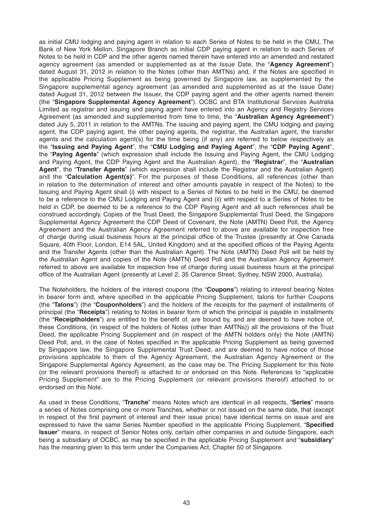as initial CMU lodging and paying agent in relation to each Series of Notes to be held in the CMU, The Bank of New York Mellon, Singapore Branch as initial CDP paying agent in relation to each Series of Notes to be held in CDP and the other agents named therein have entered into an amended and restated agency agreement (as amended or supplemented as at the Issue Date, the "**Agency Agreement**") dated August 31, 2012 in relation to the Notes (other than AMTNs) and, if the Notes are specified in the applicable Pricing Supplement as being governed by Singapore law, as supplemented by the Singapore supplemental agency agreement (as amended and supplemented as at the Issue Date) dated August 31, 2012 between the Issuer, the CDP paying agent and the other agents named therein (the "**Singapore Supplemental Agency Agreement**") . OCBC and BTA Institutional Services Australia Limited as registrar and issuing and paying agent have entered into an Agency and Registry Services Agreement (as amended and supplemented from time to time, the "**Australian Agency Agreement**") dated July 5, 2011 in relation to the AMTNs. The issuing and paying agent, the CMU lodging and paying agent, the CDP paying agent, the other paying agents, the registrar, the Australian agent, the transfer agents and the calculation agent(s) for the time being (if any) are referred to below respectively as the "**Issuing and Paying Agent**", the "**CMU Lodging and Paying Agent**", the "**CDP Paying Agent**", the "**Paying Agents**" (which expression shall include the Issuing and Paying Agent, the CMU Lodging and Paying Agent, the CDP Paying Agent and the Australian Agent), the "**Registrar**", the "**Australian Agent**", the "**Transfer Agents**" (which expression shall include the Registrar and the Australian Agent) and the "**Calculation Agent(s)**". For the purposes of these Conditions, all references (other than in relation to the determination of interest and other amounts payable in respect of the Notes) to the Issuing and Paying Agent shall (i) with respect to a Series of Notes to be held in the CMU, be deemed to be a reference to the CMU Lodging and Paying Agent and (ii) with respect to a Series of Notes to be held in CDP, be deemed to be a reference to the CDP Paying Agent and all such references shall be construed accordingly. Copies of the Trust Deed, the Singapore Supplemental Trust Deed, the Singapore Supplemental Agency Agreement the CDP Deed of Covenant, the Note (AMTN) Deed Poll, the Agency Agreement and the Australian Agency Agreement referred to above are available for inspection free of charge during usual business hours at the principal office of the Trustee (presently at One Canada Square, 40th Floor, London, E14 5AL, United Kingdom) and at the specified offices of the Paying Agents and the Transfer Agents (other than the Australian Agent). The Note (AMTN) Deed Poll will be held by the Australian Agent and copies of the Note (AMTN) Deed Poll and the Australian Agency Agreement referred to above are available for inspection free of charge during usual business hours at the principal office of the Australian Agent (presently at Level 2, 35 Clarence Street, Sydney, NSW 2000, Australia).

The Noteholders, the holders of the interest coupons (the "**Coupons**") relating to interest bearing Notes in bearer form and, where specified in the applicable Pricing Supplement, talons for further Coupons (the "**Talons**") (the "**Couponholders**") and the holders of the receipts for the payment of installments of principal (the "**Receipts**") relating to Notes in bearer form of which the principal is payable in installments (the "**Receiptholders**") are entitled to the benefit of, are bound by, and are deemed to have notice of, these Conditions, (in respect of the holders of Notes (other than AMTNs)) all the provisions of the Trust Deed, the applicable Pricing Supplement and (in respect of the AMTN holders only) the Note (AMTN) Deed Poll, and, in the case of Notes specified in the applicable Pricing Supplement as being governed by Singapore law, the Singapore Supplemental Trust Deed, and are deemed to have notice of those provisions applicable to them of the Agency Agreement , the Australian Agency Agreement or the Singapore Supplemental Agency Agreement, as the case may be. The Pricing Supplement for this Note (or the relevant provisions thereof) is attached to or endorsed on this Note. References to "applicable Pricing Supplement" are to the Pricing Supplement (or relevant provisions thereof) attached to or endorsed on this Note.

As used in these Conditions, "**Tranche**" means Notes which are identical in all respects, "**Series**" means a series of Notes comprising one or more Tranches, whether or not issued on the same date, that (except in respect of the first payment of interest and their issue price) have identical terms on issue and are expressed to have the same Series Number specified in the applicable Pricing Supplement, "**Specified Issuer**" means, in respect of Senior Notes only, certain other companies in and outside Singapore, each being a subsidiary of OCBC, as may be specified in the applicable Pricing Supplement and "subsidiary" has the meaning given to this term under the Companies Act, Chapter 50 of Singapore.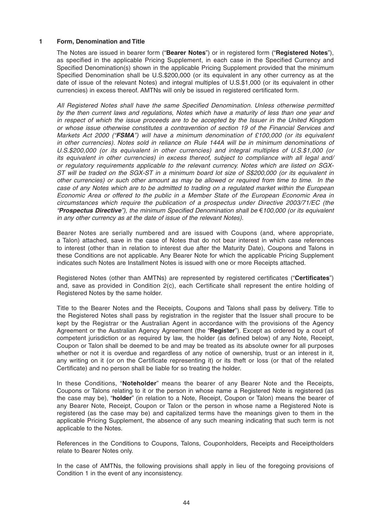### **1 Form, Denomination and Title**

 The Notes are issued in bearer form ("**Bearer Notes**") or in registered form ("**Registered Notes**"), as specified in the applicable Pricing Supplement, in each case in the Specified Currency and Specified Denomination(s) shown in the applicable Pricing Supplement provided that the minimum Specified Denomination shall be U.S.\$200,000 (or its equivalent in any other currency as at the date of issue of the relevant Notes) and integral multiples of U.S.\$1,000 (or its equivalent in other currencies) in excess thereof. AMTNs will only be issued in registered certificated form.

All Registered Notes shall have the same Specified Denomination. Unless otherwise permitted *by the then current laws and regulations, Notes which have a maturity of less than one year and in respect of which the issue proceeds are to be accepted by the Issuer in the United Kingdom or whose issue otherwise constitutes a contravention of section 19 of the Financial Services and Markets Act 2000 ("FSMA") will have a minimum denomination of £100,000 (or its equivalent in other currencies). Notes sold in reliance on Rule 144A will be in minimum denominations of U.S.\$200,000 (or its equivalent in other currencies) and integral multiples of U.S.\$1,000 (or its equivalent in other currencies) in excess thereof, subject to compliance with all legal and/ or regulatory requirements applicable to the relevant currency. Notes which are listed on SGX-ST will be traded on the SGX-ST in a minimum board lot size of S\$200,000 (or its equivalent in other currencies) or such other amount as may be allowed or required from time to time. In the case of any Notes which are to be admitted to trading on a regulated market within the European Economic Area or offered to the public in a Member State of the European Economic Area in circumstances which require the publication of a prospectus under Directive 2003/71/EC (the "Prospectus Directive"), the minimum Specifi ed Denomination shall be* €*100,000 (or its equivalent in any other currency as at the date of issue of the relevant Notes).*

 Bearer Notes are serially numbered and are issued with Coupons (and, where appropriate, a Talon) attached, save in the case of Notes that do not bear interest in which case references to interest (other than in relation to interest due after the Maturity Date), Coupons and Talons in these Conditions are not applicable. Any Bearer Note for which the applicable Pricing Supplement indicates such Notes are Installment Notes is issued with one or more Receipts attached.

Registered Notes (other than AMTNs) are represented by registered certificates ("**Certificates**") and, save as provided in Condition 2(c), each Certificate shall represent the entire holding of Registered Notes by the same holder.

 Title to the Bearer Notes and the Receipts, Coupons and Talons shall pass by delivery. Title to the Registered Notes shall pass by registration in the register that the Issuer shall procure to be kept by the Registrar or the Australian Agent in accordance with the provisions of the Agency Agreement or the Australian Agency Agreement (the "**Register**"). Except as ordered by a court of competent jurisdiction or as required by law, the holder (as defined below) of any Note, Receipt, Coupon or Talon shall be deemed to be and may be treated as its absolute owner for all purposes whether or not it is overdue and regardless of any notice of ownership, trust or an interest in it, any writing on it (or on the Certificate representing it) or its theft or loss (or that of the related Certificate) and no person shall be liable for so treating the holder.

 In these Conditions, "**Noteholder**" means the bearer of any Bearer Note and the Receipts, Coupons or Talons relating to it or the person in whose name a Registered Note is registered (as the case may be), "**holder**" (in relation to a Note, Receipt, Coupon or Talon) means the bearer of any Bearer Note, Receipt, Coupon or Talon or the person in whose name a Registered Note is registered (as the case may be) and capitalized terms have the meanings given to them in the applicable Pricing Supplement, the absence of any such meaning indicating that such term is not applicable to the Notes.

 References in the Conditions to Coupons, Talons, Couponholders, Receipts and Receiptholders relate to Bearer Notes only.

 In the case of AMTNs, the following provisions shall apply in lieu of the foregoing provisions of Condition 1 in the event of any inconsistency.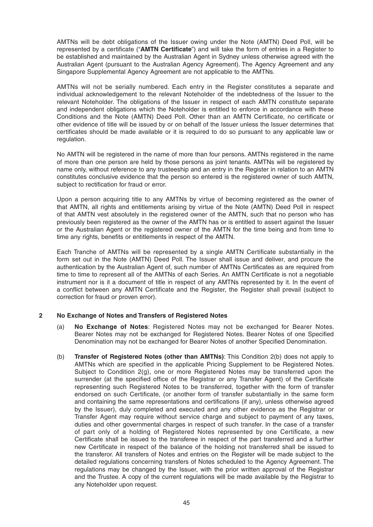AMTNs will be debt obligations of the Issuer owing under the Note (AMTN) Deed Poll, will be represented by a certificate ("AMTN Certificate") and will take the form of entries in a Register to be established and maintained by the Australian Agent in Sydney unless otherwise agreed with the Australian Agent (pursuant to the Australian Agency Agreement). The Agency Agreement and any Singapore Supplemental Agency Agreement are not applicable to the AMTNs.

 AMTNs will not be serially numbered. Each entry in the Register constitutes a separate and individual acknowledgement to the relevant Noteholder of the indebtedness of the Issuer to the relevant Noteholder. The obligations of the Issuer in respect of each AMTN constitute separate and independent obligations which the Noteholder is entitled to enforce in accordance with these Conditions and the Note (AMTN) Deed Poll. Other than an AMTN Certificate, no certificate or other evidence of title will be issued by or on behalf of the Issuer unless the Issuer determines that certificates should be made available or it is required to do so pursuant to any applicable law or regulation.

 No AMTN will be registered in the name of more than four persons. AMTNs registered in the name of more than one person are held by those persons as joint tenants. AMTNs will be registered by name only, without reference to any trusteeship and an entry in the Register in relation to an AMTN constitutes conclusive evidence that the person so entered is the registered owner of such AMTN, subject to rectification for fraud or error.

 Upon a person acquiring title to any AMTNs by virtue of becoming registered as the owner of that AMTN, all rights and entitlements arising by virtue of the Note (AMTN) Deed Poll in respect of that AMTN vest absolutely in the registered owner of the AMTN, such that no person who has previously been registered as the owner of the AMTN has or is entitled to assert against the Issuer or the Australian Agent or the registered owner of the AMTN for the time being and from time to time any rights, benefits or entitlements in respect of the AMTN.

Each Tranche of AMTNs will be represented by a single AMTN Certificate substantially in the form set out in the Note (AMTN) Deed Poll. The Issuer shall issue and deliver, and procure the authentication by the Australian Agent of, such number of AMTNs Certificates as are required from time to time to represent all of the AMTNs of each Series. An AMTN Certificate is not a negotiable instrument nor is it a document of title in respect of any AMTNs represented by it. In the event of a conflict between any AMTN Certificate and the Register, the Register shall prevail (subject to correction for fraud or proven error).

# **2 No Exchange of Notes and Transfers of Registered Notes**

- (a) **No Exchange of Notes**: Registered Notes may not be exchanged for Bearer Notes. Bearer Notes may not be exchanged for Registered Notes. Bearer Notes of one Specified Denomination may not be exchanged for Bearer Notes of another Specified Denomination.
- (b) **Transfer of Registered Notes (other than AMTNs)**: This Condition 2(b) does not apply to AMTNs which are specified in the applicable Pricing Supplement to be Registered Notes. Subject to Condition  $2(g)$ , one or more Registered Notes may be transferred upon the surrender (at the specified office of the Registrar or any Transfer Agent) of the Certificate representing such Registered Notes to be transferred, together with the form of transfer endorsed on such Certificate, (or another form of transfer substantially in the same form and containing the same representations and certifications (if any), unless otherwise agreed by the Issuer), duly completed and executed and any other evidence as the Registrar or Transfer Agent may require without service charge and subject to payment of any taxes, duties and other governmental charges in respect of such transfer. In the case of a transfer of part only of a holding of Registered Notes represented by one Certificate, a new Certificate shall be issued to the transferee in respect of the part transferred and a further new Certificate in respect of the balance of the holding not transferred shall be issued to the transferor. All transfers of Notes and entries on the Register will be made subject to the detailed regulations concerning transfers of Notes scheduled to the Agency Agreement. The regulations may be changed by the Issuer, with the prior written approval of the Registrar and the Trustee. A copy of the current regulations will be made available by the Registrar to any Noteholder upon request.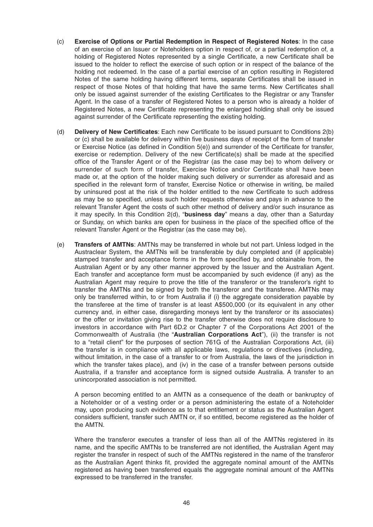- (c) **Exercise of Options or Partial Redemption in Respect of Registered Notes**: In the case of an exercise of an Issuer or Noteholders option in respect of, or a partial redemption of, a holding of Registered Notes represented by a single Certificate, a new Certificate shall be issued to the holder to reflect the exercise of such option or in respect of the balance of the holding not redeemed. In the case of a partial exercise of an option resulting in Registered Notes of the same holding having different terms, separate Certificates shall be issued in respect of those Notes of that holding that have the same terms. New Certificates shall only be issued against surrender of the existing Certificates to the Registrar or any Transfer Agent. In the case of a transfer of Registered Notes to a person who is already a holder of Registered Notes, a new Certificate representing the enlarged holding shall only be issued against surrender of the Certificate representing the existing holding.
- (d) **Delivery of New Certificates**: Each new Certificate to be issued pursuant to Conditions 2(b) or (c) shall be available for delivery within five business days of receipt of the form of transfer or Exercise Notice (as defined in Condition  $5(e)$ ) and surrender of the Certificate for transfer, exercise or redemption. Delivery of the new Certificate(s) shall be made at the specified office of the Transfer Agent or of the Registrar (as the case may be) to whom delivery or surrender of such form of transfer, Exercise Notice and/or Certificate shall have been made or, at the option of the holder making such delivery or surrender as aforesaid and as specified in the relevant form of transfer, Exercise Notice or otherwise in writing, be mailed by uninsured post at the risk of the holder entitled to the new Certificate to such address as may be so specified, unless such holder requests otherwise and pays in advance to the relevant Transfer Agent the costs of such other method of delivery and/or such insurance as it may specify. In this Condition 2(d), "**business day**" means a day, other than a Saturday or Sunday, on which banks are open for business in the place of the specified office of the relevant Transfer Agent or the Registrar (as the case may be).
- (e) **Transfers of AMTNs**: AMTNs may be transferred in whole but not part. Unless lodged in the Austraclear System, the AMTNs will be transferable by duly completed and (if applicable) stamped transfer and acceptance forms in the form specified by, and obtainable from, the Australian Agent or by any other manner approved by the Issuer and the Australian Agent. Each transfer and acceptance form must be accompanied by such evidence (if any) as the Australian Agent may require to prove the title of the transferor or the transferor's right to transfer the AMTNs and be signed by both the transferor and the transferee. AMTNs may only be transferred within, to or from Australia if (i) the aggregate consideration payable by the transferee at the time of transfer is at least A\$500,000 (or its equivalent in any other currency and, in either case, disregarding moneys lent by the transferor or its associates) or the offer or invitation giving rise to the transfer otherwise does not require disclosure to investors in accordance with Part 6D.2 or Chapter 7 of the Corporations Act 2001 of the Commonwealth of Australia (the "**Australian Corporations Act**"), (ii) the transfer is not to a "retail client" for the purposes of section 761G of the Australian Corporations Act, (iii) the transfer is in compliance with all applicable laws, regulations or directives (including, without limitation, in the case of a transfer to or from Australia, the laws of the jurisdiction in which the transfer takes place), and (iv) in the case of a transfer between persons outside Australia, if a transfer and acceptance form is signed outside Australia. A transfer to an unincorporated association is not permitted.

 A person becoming entitled to an AMTN as a consequence of the death or bankruptcy of a Noteholder or of a vesting order or a person administering the estate of a Noteholder may, upon producing such evidence as to that entitlement or status as the Australian Agent considers sufficient, transfer such AMTN or, if so entitled, become registered as the holder of the AMTN.

 Where the transferor executes a transfer of less than all of the AMTNs registered in its name, and the specific AMTNs to be transferred are not identified, the Australian Agent may register the transfer in respect of such of the AMTNs registered in the name of the transferor as the Australian Agent thinks fit, provided the aggregate nominal amount of the AMTNs registered as having been transferred equals the aggregate nominal amount of the AMTNs expressed to be transferred in the transfer.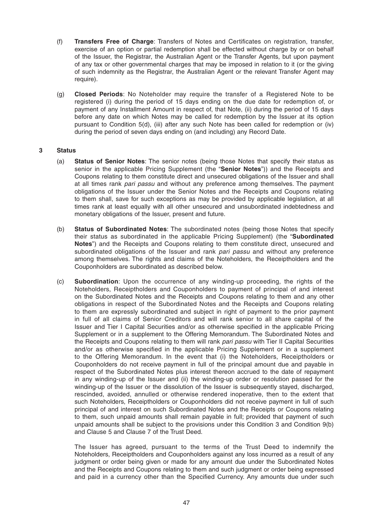- (f) **Transfers Free of Charge**: Transfers of Notes and Certificates on registration, transfer, exercise of an option or partial redemption shall be effected without charge by or on behalf of the Issuer, the Registrar, the Australian Agent or the Transfer Agents, but upon payment of any tax or other governmental charges that may be imposed in relation to it (or the giving of such indemnity as the Registrar, the Australian Agent or the relevant Transfer Agent may require).
- (g) **Closed Periods**: No Noteholder may require the transfer of a Registered Note to be registered (i) during the period of 15 days ending on the due date for redemption of, or payment of any Installment Amount in respect of, that Note, (ii) during the period of 15 days before any date on which Notes may be called for redemption by the Issuer at its option pursuant to Condition 5(d), (iii) after any such Note has been called for redemption or (iv) during the period of seven days ending on (and including) any Record Date.

# **3 Status**

- (a) **Status of Senior Notes**: The senior notes (being those Notes that specify their status as senior in the applicable Pricing Supplement (the "**Senior Notes**")) and the Receipts and Coupons relating to them constitute direct and unsecured obligations of the Issuer and shall at all times rank *pari passu* and without any preference among themselves. The payment obligations of the Issuer under the Senior Notes and the Receipts and Coupons relating to them shall, save for such exceptions as may be provided by applicable legislation, at all times rank at least equally with all other unsecured and unsubordinated indebtedness and monetary obligations of the Issuer, present and future.
- (b) **Status of Subordinated Notes**: The subordinated notes (being those Notes that specify their status as subordinated in the applicable Pricing Supplement) (the "**Subordinated Notes**") and the Receipts and Coupons relating to them constitute direct, unsecured and subordinated obligations of the Issuer and rank *pari passu* and without any preference among themselves. The rights and claims of the Noteholders, the Receiptholders and the Couponholders are subordinated as described below.
- (c) **Subordination**: Upon the occurrence of any winding-up proceeding, the rights of the Noteholders, Receiptholders and Couponholders to payment of principal of and interest on the Subordinated Notes and the Receipts and Coupons relating to them and any other obligations in respect of the Subordinated Notes and the Receipts and Coupons relating to them are expressly subordinated and subject in right of payment to the prior payment in full of all claims of Senior Creditors and will rank senior to all share capital of the Issuer and Tier I Capital Securities and/or as otherwise specified in the applicable Pricing Supplement or in a supplement to the Offering Memorandum. The Subordinated Notes and the Receipts and Coupons relating to them will rank *pari passu* with Tier II Capital Securities and/or as otherwise specified in the applicable Pricing Supplement or in a supplement to the Offering Memorandum. In the event that (i) the Noteholders, Receiptholders or Couponholders do not receive payment in full of the principal amount due and payable in respect of the Subordinated Notes plus interest thereon accrued to the date of repayment in any winding-up of the Issuer and (ii) the winding-up order or resolution passed for the winding-up of the Issuer or the dissolution of the Issuer is subsequently stayed, discharged, rescinded, avoided, annulled or otherwise rendered inoperative, then to the extent that such Noteholders, Receiptholders or Couponholders did not receive payment in full of such principal of and interest on such Subordinated Notes and the Receipts or Coupons relating to them, such unpaid amounts shall remain payable in full; provided that payment of such unpaid amounts shall be subject to the provisions under this Condition 3 and Condition 9(b) and Clause 5 and Clause 7 of the Trust Deed.

 The Issuer has agreed, pursuant to the terms of the Trust Deed to indemnify the Noteholders, Receiptholders and Couponholders against any loss incurred as a result of any judgment or order being given or made for any amount due under the Subordinated Notes and the Receipts and Coupons relating to them and such judgment or order being expressed and paid in a currency other than the Specified Currency. Any amounts due under such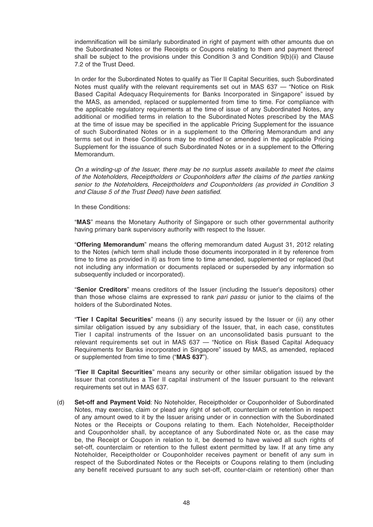indemnification will be similarly subordinated in right of payment with other amounts due on the Subordinated Notes or the Receipts or Coupons relating to them and payment thereof shall be subject to the provisions under this Condition 3 and Condition 9(b)(ii) and Clause 7.2 of the Trust Deed.

 In order for the Subordinated Notes to qualify as Tier II Capital Securities, such Subordinated Notes must qualify with the relevant requirements set out in MAS 637 — "Notice on Risk Based Capital Adequacy Requirements for Banks Incorporated in Singapore" issued by the MAS, as amended, replaced or supplemented from time to time. For compliance with the applicable regulatory requirements at the time of issue of any Subordinated Notes, any additional or modified terms in relation to the Subordinated Notes prescribed by the MAS at the time of issue may be specified in the applicable Pricing Supplement for the issuance of such Subordinated Notes or in a supplement to the Offering Memorandum and any terms set out in these Conditions may be modified or amended in the applicable Pricing Supplement for the issuance of such Subordinated Notes or in a supplement to the Offering Memorandum.

 *On a winding-up of the Issuer, there may be no surplus assets available to meet the claims of the Noteholders, Receiptholders or Couponholders after the claims of the parties ranking senior to the Noteholders, Receiptholders and Couponholders (as provided in Condition 3*  and Clause 5 of the Trust Deed) have been satisfied.

In these Conditions:

 "**MAS**" means the Monetary Authority of Singapore or such other governmental authority having primary bank supervisory authority with respect to the Issuer.

 "**Offering Memorandum**" means the offering memorandum dated August 31, 2012 relating to the Notes (which term shall include those documents incorporated in it by reference from time to time as provided in it) as from time to time amended, supplemented or replaced (but not including any information or documents replaced or superseded by any information so subsequently included or incorporated).

 "**Senior Creditors**" means creditors of the Issuer (including the Issuer's depositors) other than those whose claims are expressed to rank *pari passu* or junior to the claims of the holders of the Subordinated Notes.

 "**Tier I Capital Securities**" means (i) any security issued by the Issuer or (ii) any other similar obligation issued by any subsidiary of the Issuer, that, in each case, constitutes Tier I capital instruments of the Issuer on an unconsolidated basis pursuant to the relevant requirements set out in MAS 637 — "Notice on Risk Based Capital Adequacy Requirements for Banks incorporated in Singapore" issued by MAS, as amended, replaced or supplemented from time to time ("**MAS 637**").

 "**Tier II Capital Securities**" means any security or other similar obligation issued by the Issuer that constitutes a Tier II capital instrument of the Issuer pursuant to the relevant requirements set out in MAS 637.

 (d) **Set-off and Payment Void**: No Noteholder, Receiptholder or Couponholder of Subordinated Notes, may exercise, claim or plead any right of set-off, counterclaim or retention in respect of any amount owed to it by the Issuer arising under or in connection with the Subordinated Notes or the Receipts or Coupons relating to them. Each Noteholder, Receiptholder and Couponholder shall, by acceptance of any Subordinated Note or, as the case may be, the Receipt or Coupon in relation to it, be deemed to have waived all such rights of set-off, counterclaim or retention to the fullest extent permitted by law. If at any time any Noteholder, Receiptholder or Couponholder receives payment or benefit of any sum in respect of the Subordinated Notes or the Receipts or Coupons relating to them (including any benefit received pursuant to any such set-off, counter-claim or retention) other than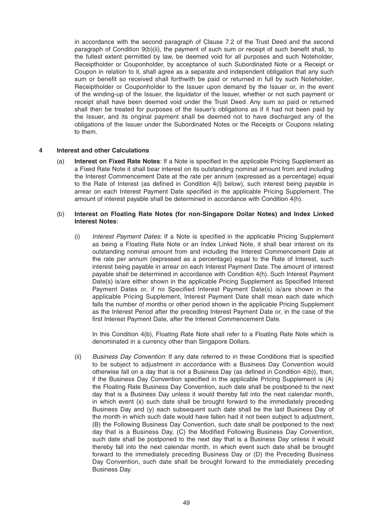in accordance with the second paragraph of Clause 7.2 of the Trust Deed and the second paragraph of Condition  $9(b)(ii)$ , the payment of such sum or receipt of such benefit shall, to the fullest extent permitted by law, be deemed void for all purposes and such Noteholder, Receiptholder or Couponholder, by acceptance of such Subordinated Note or a Receipt or Coupon in relation to it, shall agree as a separate and independent obligation that any such sum or benefit so received shall forthwith be paid or returned in full by such Noteholder, Receiptholder or Couponholder to the Issuer upon demand by the Issuer or, in the event of the winding-up of the Issuer, the liquidator of the Issuer, whether or not such payment or receipt shall have been deemed void under the Trust Deed. Any sum so paid or returned shall then be treated for purposes of the Issuer's obligations as if it had not been paid by the Issuer, and its original payment shall be deemed not to have discharged any of the obligations of the Issuer under the Subordinated Notes or the Receipts or Coupons relating to them.

# **4 Interest and other Calculations**

(a) **Interest on Fixed Rate Notes**: If a Note is specified in the applicable Pricing Supplement as a Fixed Rate Note it shall bearinterest on its outstanding nominal amount from and including the Interest Commencement Date at the rate per annum (expressed as a percentage) equal to the Rate of Interest (as defined in Condition 4(I) below), such interest being payable in arrear on each Interest Payment Date specified in the applicable Pricing Supplement. The amount of interest payable shall be determined in accordance with Condition 4(h).

#### (b) **Interest on Floating Rate Notes (for non-Singapore Dollar Notes) and Index Linked Interest Notes**:

(i) Interest Payment Dates: If a Note is specified in the applicable Pricing Supplement as being a Floating Rate Note or an Index Linked Note , it shall bear interest on its outstanding nominal amount from and including the Interest Commencement Date at the rate per annum (expressed as a percentage) equal to the Rate of Interest, such interest being payable in arrear on each Interest Payment Date. The amount of interest payable shall be determined in accordance with Condition 4(h). Such Interest Payment Date(s) is/are either shown in the applicable Pricing Supplement as Specified Interest Payment Dates or, if no Specified Interest Payment Date(s) is/are shown in the applicable Pricing Supplement, Interest Payment Date shall mean each date which falls the number of months or other period shown in the applicable Pricing Supplement as the Interest Period after the preceding Interest Payment Date or, in the case of the first Interest Payment Date, after the Interest Commencement Date.

In this Condition 4(b), Floating Rate Note shall refer to a Floating Rate Note which is denominated in a currency other than Singapore Dollars.

*(ii)* Business Day Convention: If any date referred to in these Conditions that is specified to be subject to adjustment in accordance with a Business Day Convention would otherwise fall on a day that is not a Business Day (as defined in Condition  $4(b)$ ), then, if the Business Day Convention specified in the applicable Pricing Supplement is  $(A)$ the Floating Rate Business Day Convention, such date shall be postponed to the next day that is a Business Day unless it would thereby fall into the next calendar month, in which event (x) such date shall be brought forward to the immediately preceding Business Day and (y) each subsequent such date shall be the last Business Day of the month in which such date would have fallen had it not been subject to adjustment, (B) the Following Business Day Convention, such date shall be postponed to the next day that is a Business Day, (C) the Modified Following Business Day Convention, such date shall be postponed to the next day that is a Business Day unless it would thereby fall into the next calendar month, in which event such date shall be brought forward to the immediately preceding Business Day or (D) the Preceding Business Day Convention, such date shall be brought forward to the immediately preceding Business Day.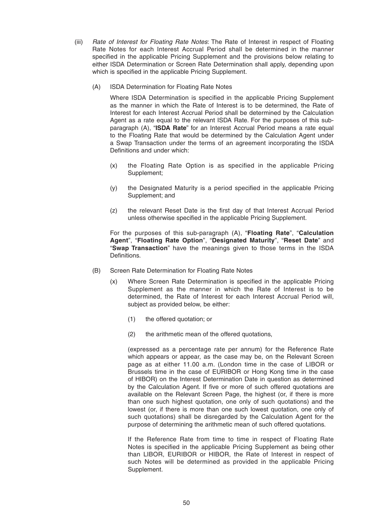- (iii) *Rate of Interest for Floating Rate Notes*: The Rate of Interest in respect of Floating Rate Notes for each Interest Accrual Period shall be determined in the manner specified in the applicable Pricing Supplement and the provisions below relating to either ISDA Determination or Screen Rate Determination shall apply, depending upon which is specified in the applicable Pricing Supplement.
	- (A) ISDA Determination for Floating Rate Notes

Where ISDA Determination is specified in the applicable Pricing Supplement as the manner in which the Rate of Interest is to be determined, the Rate of Interest for each Interest Accrual Period shall be determined by the Calculation Agent as a rate equal to the relevant ISDA Rate. For the purposes of this subparagraph (A), "**ISDA Rate**" for an Interest Accrual Period means a rate equal to the Floating Rate that would be determined by the Calculation Agent under a Swap Transaction under the terms of an agreement incorporating the ISDA Definitions and under which:

- (x) the Floating Rate Option is as specified in the applicable Pricing Supplement;
- (y) the Designated Maturity is a period specified in the applicable Pricing Supplement; and
- (z) the relevant Reset Date is the first day of that Interest Accrual Period unless otherwise specified in the applicable Pricing Supplement.

 For the purposes of this sub-paragraph (A), "**Floating Rate**", "**Calculation Agent**", "**Floating Rate Option**", "**Designated Maturity**", "**Reset Date**" and "**Swap Transaction**" have the meanings given to those terms in the ISDA Definitions.

- (B) Screen Rate Determination for Floating Rate Notes
	- $(x)$  Where Screen Rate Determination is specified in the applicable Pricing Supplement as the manner in which the Rate of Interest is to be determined, the Rate of Interest for each Interest Accrual Period will, subject as provided below, be either:
		- (1) the offered quotation; or
		- (2) the arithmetic mean of the offered quotations,

 (expressed as a percentage rate per annum) for the Reference Rate which appears or appear, as the case may be, on the Relevant Screen page as at either 11.00 a.m. (London time in the case of LIBOR or Brussels time in the case of EURIBOR or Hong Kong time in the case of HIBOR) on the Interest Determination Date in question as determined by the Calculation Agent. If five or more of such offered quotations are available on the Relevant Screen Page, the highest (or, if there is more than one such highest quotation, one only of such quotations) and the lowest (or, if there is more than one such lowest quotation, one only of such quotations) shall be disregarded by the Calculation Agent for the purpose of determining the arithmetic mean of such offered quotations.

 If the Reference Rate from time to time in respect of Floating Rate Notes is specified in the applicable Pricing Supplement as being other than LIBOR, EURIBOR or HIBOR, the Rate of Interest in respect of such Notes will be determined as provided in the applicable Pricing Supplement.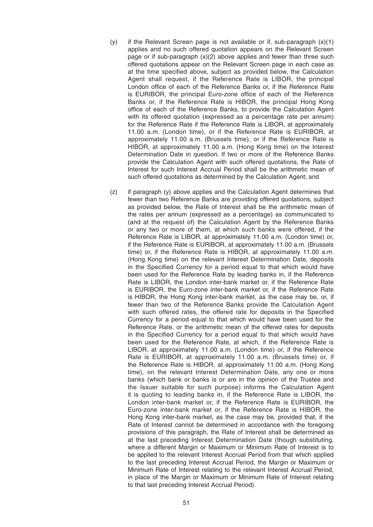- $(y)$  if the Relevant Screen page is not available or if, sub-paragraph  $(x)(1)$ applies and no such offered quotation appears on the Relevant Screen page or if sub-paragraph  $(x)(2)$  above applies and fewer than three such offered quotations appear on the Relevant Screen page in each case as at the time specified above, subject as provided below, the Calculation Agent shall request, if the Reference Rate is LIBOR, the principal London office of each of the Reference Banks or, if the Reference Rate is EURIBOR, the principal Euro-zone office of each of the Reference Banks or, if the Reference Rate is HIBOR, the principal Hong Kong office of each of the Reference Banks, to provide the Calculation Agent with its offered quotation (expressed as a percentage rate per annum) for the Reference Rate if the Reference Rate is LIBOR, at approximately 11.00 a.m. (London time), or if the Reference Rate is EURIBOR, at approximately 11.00 a.m. (Brussels time), or if the Reference Rate is HIBOR, at approximately 11.00 a.m. (Hong Kong time) on the Interest Determination Date in question. If two or more of the Reference Banks provide the Calculation Agent with such offered quotations, the Rate of Interest for such Interest Accrual Period shall be the arithmetic mean of such offered quotations as determined by the Calculation Agent; and
- (z) if paragraph (y) above applies and the Calculation Agent determines that fewer than two Reference Banks are providing offered quotations, subject as provided below, the Rate of Interest shall be the arithmetic mean of the rates per annum (expressed as a percentage) as communicated to (and at the request of) the Calculation Agent by the Reference Banks or any two or more of them, at which such banks were offered, if the Reference Rate is LIBOR, at approximately 11.00 a.m. (London time) or, if the Reference Rate is EURIBOR, at approximately 11.00 a.m. (Brussels time) or, if the Reference Rate is HIBOR, at approximately 11.00 a.m. (Hong Kong time) on the relevant Interest Determination Date, deposits in the Specified Currency for a period equal to that which would have been used for the Reference Rate by leading banks in, if the Reference Rate is LIBOR, the London inter-bank market or, if the Reference Rate is EURIBOR, the Euro-zone inter-bank market or, if the Reference Rate is HIBOR, the Hong Kong inter-bank market, as the case may be, or, if fewer than two of the Reference Banks provide the Calculation Agent with such offered rates, the offered rate for deposits in the Specified Currency for a period equal to that which would have been used for the Reference Rate, or the arithmetic mean of the offered rates for deposits in the Specified Currency for a period equal to that which would have been used for the Reference Rate, at which, if the Reference Rate is LIBOR, at approximately 11.00 a.m. (London time) or, if the Reference Rate is EURIBOR, at approximately 11.00 a.m. (Brussels time) or, if the Reference Rate is HIBOR, at approximately 11.00 a.m. (Hong Kong time), on the relevant Interest Determination Date, any one or more banks (which bank or banks is or are in the opinion of the Trustee and the Issuer suitable for such purpose) informs the Calculation Agent it is quoting to leading banks in, if the Reference Rate is LIBOR, the London inter-bank market or, if the Reference Rate is EURIBOR, the Euro-zone inter-bank market or, if the Reference Rate is HIBOR, the Hong Kong inter-bank market, as the case may be, provided that, if the Rate of Interest cannot be determined in accordance with the foregoing provisions of this paragraph, the Rate of Interest shall be determined as at the last preceding Interest Determination Date (though substituting, where a different Margin or Maximum or Minimum Rate of Interest is to be applied to the relevant Interest Accrual Period from that which applied to the last preceding Interest Accrual Period, the Margin or Maximum or Minimum Rate of Interest relating to the relevant Interest Accrual Period, in place of the Margin or Maximum or Minimum Rate of Interest relating to that last preceding Interest Accrual Period).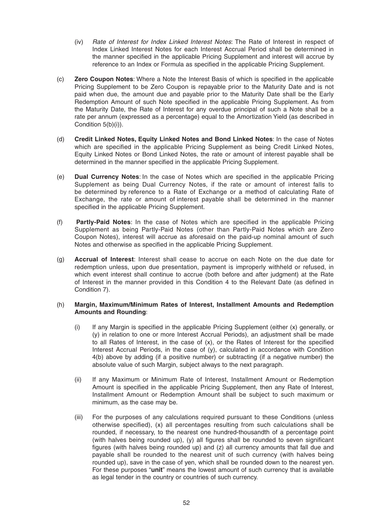- (iv) *Rate of Interest for Index Linked Interest Notes*: The Rate of Interest in respect of Index Linked Interest Notes for each Interest Accrual Period shall be determined in the manner specified in the applicable Pricing Supplement and interest will accrue by reference to an Index or Formula as specified in the applicable Pricing Supplement.
- (c) **Zero Coupon Notes:** Where a Note the Interest Basis of which is specified in the applicable Pricing Supplement to be Zero Coupon is repayable prior to the Maturity Date and is not paid when due, the amount due and payable prior to the Maturity Date shall be the Early Redemption Amount of such Note specified in the applicable Pricing Supplement. As from the Maturity Date, the Rate of Interest for any overdue principal of such a Note shall be a rate per annum (expressed as a percentage) equal to the Amortization Yield (as described in Condition 5(b)(i)).
- (d) **Credit Linked Notes, Equity Linked Notes and Bond Linked Notes**: In the case of Notes which are specified in the applicable Pricing Supplement as being Credit Linked Notes, Equity Linked Notes or Bond Linked Notes, the rate or amount of interest payable shall be determined in the manner specified in the applicable Pricing Supplement.
- (e) **Dual Currency Notes**: In the case of Notes which are specified in the applicable Pricing Supplement as being Dual Currency Notes, if the rate or amount of interest falls to be determined by reference to a Rate of Exchange or a method of calculating Rate of Exchange, the rate or amount of interest payable shall be determined in the manner specified in the applicable Pricing Supplement.
- (f) **Partly-Paid Notes**: In the case of Notes which are specified in the applicable Pricing Supplement as being Partly-Paid Notes (other than Partly-Paid Notes which are Zero Coupon Notes), interest will accrue as aforesaid on the paid-up nominal amount of such Notes and otherwise as specified in the applicable Pricing Supplement.
- (g) **Accrual of Interest**: Interest shall cease to accrue on each Note on the due date for redemption unless, upon due presentation, payment is improperly withheld or refused, in which event interest shall continue to accrue (both before and after judgment) at the Rate of Interest in the manner provided in this Condition 4 to the Relevant Date (as defined in Condition 7).

### (h) **Margin, Maximum/Minimum Rates of Interest, Installment Amounts and Redemption Amounts and Rounding**:

- $(i)$  If any Margin is specified in the applicable Pricing Supplement (either  $(x)$  generally, or (y) in relation to one or more Interest Accrual Periods), an adjustment shall be made to all Rates of Interest, in the case of  $(x)$ , or the Rates of Interest for the specified Interest Accrual Periods, in the case of (y), calculated in accordance with Condition 4(b) above by adding (if a positive number) or subtracting (if a negative number) the absolute value of such Margin, subject always to the next paragraph.
- (ii) If any Maximum or Minimum Rate of Interest, Installment Amount or Redemption Amount is specified in the applicable Pricing Supplement, then any Rate of Interest, Installment Amount or Redemption Amount shall be subject to such maximum or minimum, as the case may be.
- (iii) For the purposes of any calculations required pursuant to these Conditions (unless otherwise specified),  $(x)$  all percentages resulting from such calculations shall be rounded, if necessary, to the nearest one hundred-thousandth of a percentage point (with halves being rounded up), (y) all figures shall be rounded to seven significant figures (with halves being rounded up) and  $(z)$  all currency amounts that fall due and payable shall be rounded to the nearest unit of such currency (with halves being rounded up), save in the case of yen, which shall be rounded down to the nearest yen. For these purposes "**unit**" means the lowest amount of such currency that is available as legal tender in the country or countries of such currency.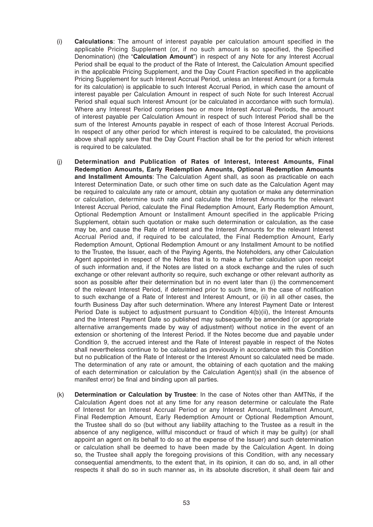- (i) **Calculations**: The amount of interest payable per calculation amount specified in the applicable Pricing Supplement (or, if no such amount is so specified, the Specified Denomination) (the "**Calculation Amount**") in respect of any Note for any Interest Accrual Period shall be equal to the product of the Rate of Interest, the Calculation Amount specified in the applicable Pricing Supplement, and the Day Count Fraction specified in the applicable Pricing Supplement for such Interest Accrual Period, unless an Interest Amount (or a formula for its calculation) is applicable to such Interest Accrual Period, in which case the amount of interest payable per Calculation Amount in respect of such Note for such Interest Accrual Period shall equal such Interest Amount (or be calculated in accordance with such formula). Where any Interest Period comprises two or more Interest Accrual Periods, the amount of interest payable per Calculation Amount in respect of such Interest Period shall be the sum of the Interest Amounts payable in respect of each of those Interest Accrual Periods. In respect of any other period for which interest is required to be calculated, the provisions above shall apply save that the Day Count Fraction shall be for the period for which interest is required to be calculated.
- (j) **Determination and Publication of Rates of Interest, Interest Amounts, Final Redemption Amounts, Early Redemption Amounts, Optional Redemption Amounts and Installment Amounts**: The Calculation Agent shall, as soon as practicable on each Interest Determination Date, or such other time on such date as the Calculation Agent may be required to calculate any rate or amount, obtain any quotation or make any determination or calculation, determine such rate and calculate the Interest Amounts for the relevant Interest Accrual Period, calculate the Final Redemption Amount, Early Redemption Amount, Optional Redemption Amount or Installment Amount specified in the applicable Pricing Supplement, obtain such quotation or make such determination or calculation, as the case may be, and cause the Rate of Interest and the Interest Amounts for the relevant Interest Accrual Period and, if required to be calculated, the Final Redemption Amount, Early Redemption Amount, Optional Redemption Amount or any Installment Amount to be notified to the Trustee, the Issuer, each of the Paying Agents, the Noteholders, any other Calculation Agent appointed in respect of the Notes that is to make a further calculation upon receipt of such information and, if the Notes are listed on a stock exchange and the rules of such exchange or other relevant authority so require, such exchange or other relevant authority as soon as possible after their determination but in no event later than (i) the commencement of the relevant Interest Period, if determined prior to such time, in the case of notification to such exchange of a Rate of Interest and Interest Amount, or (ii) in all other cases, the fourth Business Day after such determination. Where any Interest Payment Date or Interest Period Date is subject to adjustment pursuant to Condition 4(b)(ii), the Interest Amounts and the Interest Payment Date so published may subsequently be amended (or appropriate alternative arrangements made by way of adjustment) without notice in the event of an extension or shortening of the Interest Period. If the Notes become due and payable under Condition 9, the accrued interest and the Rate of Interest payable in respect of the Notes shall nevertheless continue to be calculated as previously in accordance with this Condition but no publication of the Rate of Interest or the Interest Amount so calculated need be made. The determination of any rate or amount, the obtaining of each quotation and the making of each determination or calculation by the Calculation Agent(s) shall (in the absence of manifest error) be final and binding upon all parties.
- (k) **Determination or Calculation by Trustee**: In the case of Notes other than AMTNs, if the Calculation Agent does not at any time for any reason determine or calculate the Rate of Interest for an Interest Accrual Period or any Interest Amount, Installment Amount, Final Redemption Amount, Early Redemption Amount or Optional Redemption Amount, the Trustee shall do so (but without any liability attaching to the Trustee as a result in the absence of any negligence, willful misconduct or fraud of which it may be guilty) (or shall appoint an agent on its behalf to do so at the expense of the Issuer) and such determination or calculation shall be deemed to have been made by the Calculation Agent. In doing so, the Trustee shall apply the foregoing provisions of this Condition, with any necessary consequential amendments, to the extent that, in its opinion, it can do so, and, in all other respects it shall do so in such manner as, in its absolute discretion, it shall deem fair and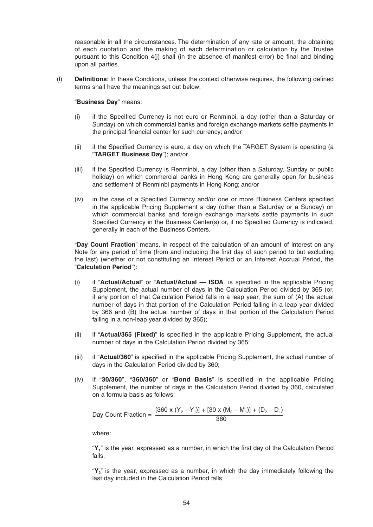reasonable in all the circumstances. The determination of any rate or amount, the obtaining of each quotation and the making of each determination or calculation by the Trustee pursuant to this Condition 4(j) shall (in the absence of manifest error) be final and binding upon all parties.

(I) **Definitions**: In these Conditions, unless the context otherwise requires, the following defined terms shall have the meanings set out below:

### "**Business Day**" means:

- (i) if the Specified Currency is not euro or Renminbi, a day (other than a Saturday or Sunday) on which commercial banks and foreign exchange markets settle payments in the principal financial center for such currency; and/or
- (ii) if the Specified Currency is euro, a day on which the TARGET System is operating (a "**TARGET Business Day**"); and/or
- (iii) if the Specified Currency is Renminbi, a day (other than a Saturday, Sunday or public holiday) on which commercial banks in Hong Kong are generally open for business and settlement of Renminbi payments in Hong Kong; and/or
- (iv) in the case of a Specified Currency and/or one or more Business Centers specified in the applicable Pricing Supplement a day (other than a Saturday or a Sunday) on which commercial banks and foreign exchange markets settle payments in such Specified Currency in the Business Center(s) or, if no Specified Currency is indicated, generally in each of the Business Centers.

 "**Day Count Fraction**" means, in respect of the calculation of an amount of interest on any Note for any period of time (from and including the first day of such period to but excluding the last) (whether or not constituting an Interest Period or an Interest Accrual Period, the "**Calculation Period**"):

- (i) if "**Actual/Actual**" or "**Actual/Actual ISDA**" is specified in the applicable Pricing Supplement, the actual number of days in the Calculation Period divided by 365 (or, if any portion of that Calculation Period falls in a leap year, the sum of (A) the actual number of days in that portion of the Calculation Period falling in a leap year divided by 366 and (B) the actual number of days in that portion of the Calculation Period falling in a non-leap year divided by 365);
- (ii) if "**Actual/365 (Fixed)**" is specified in the applicable Pricing Supplement, the actual number of days in the Calculation Period divided by 365;
- (iii) if "**Actual/360**" is specified in the applicable Pricing Supplement, the actual number of days in the Calculation Period divided by 360;
- (iv) if "**30/360**", "**360/360**" or "**Bond Basis**" is specified in the applicable Pricing Supplement, the number of days in the Calculation Period divided by 360, calculated on a formula basis as follows:

Day Count Fraction =  $\frac{[360 \times (Y_2 - Y_1)] + [30 \times (M_2 - M_1)] + (D_2 - D_1)}{360}$ 

where:

"Y<sub>1</sub>" is the year, expressed as a number, in which the first day of the Calculation Period falls;

 "**Y2**" is the year, expressed as a number, in which the day immediately following the last day included in the Calculation Period falls;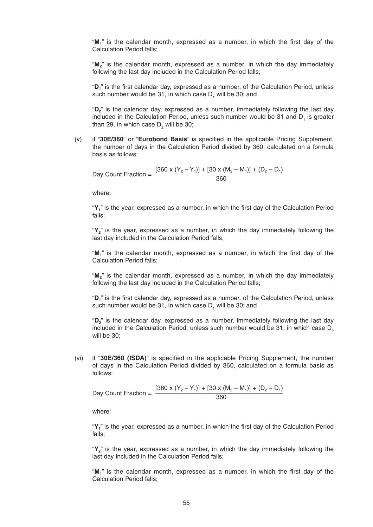"M<sub>1</sub>" is the calendar month, expressed as a number, in which the first day of the Calculation Period falls;

 "**M2**" is the calendar month, expressed as a number, in which the day immediately following the last day included in the Calculation Period falls;

"D<sub>1</sub>" is the first calendar day, expressed as a number, of the Calculation Period, unless such number would be 31, in which case  $D_{1}$  will be 30; and

 "**D2**" is the calendar day, expressed as a number, immediately following the last day included in the Calculation Period, unless such number would be 31 and  $D<sub>1</sub>$  is greater than 29, in which case  $\mathsf{D}_2^{}$  will be 30;

(v) if "30E/360" or "Eurobond Basis" is specified in the applicable Pricing Supplement, the number of days in the Calculation Period divided by 360, calculated on a formula basis as follows:

Day Count Fraction =  $\frac{[360 \times (Y_2 - Y_1)] + [30 \times (M_2 - M_1)] + (D_2 - D_1)}{360}$ 

where:

" $Y_1$ " is the year, expressed as a number, in which the first day of the Calculation Period falls;

 "**Y2**" is the year, expressed as a number, in which the day immediately following the last day included in the Calculation Period falls;

"M<sub>1</sub>" is the calendar month, expressed as a number, in which the first day of the Calculation Period falls;

 "**M2**" is the calendar month, expressed as a number, in which the day immediately following the last day included in the Calculation Period falls;

"D<sub>1</sub>" is the first calendar day, expressed as a number, of the Calculation Period, unless such number would be 31, in which case  $D_{1}$  will be 30; and

 "**D2**" is the calendar day, expressed as a number, immediately following the last day included in the Calculation Period, unless such number would be 31, in which case  $D<sub>2</sub>$ will be 30;

(vi) if "**30E/360 (ISDA)**" is specified in the applicable Pricing Supplement, the number of days in the Calculation Period divided by 360, calculated on a formula basis as follows:

Day Count Fraction = 
$$
\frac{[360 \times (Y_2 - Y_1)] + [30 \times (M_2 - M_1)] + (D_2 - D_1)}{360}
$$

where:

"Y<sub>1</sub>" is the year, expressed as a number, in which the first day of the Calculation Period falls;

 "**Y2**" is the year, expressed as a number, in which the day immediately following the last day included in the Calculation Period falls;

"M<sub>1</sub>" is the calendar month, expressed as a number, in which the first day of the Calculation Period falls;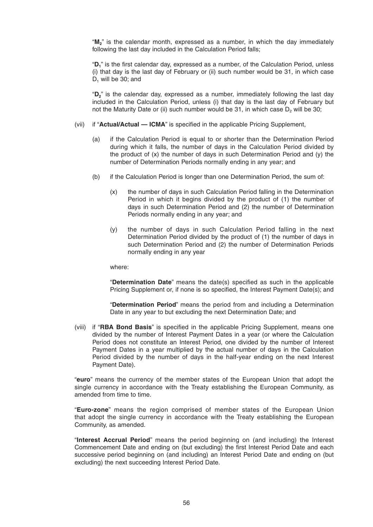"**M2**" is the calendar month, expressed as a number, in which the day immediately following the last day included in the Calculation Period falls;

"D<sub>1</sub>" is the first calendar day, expressed as a number, of the Calculation Period, unless (i) that day is the last day of February or (ii) such number would be 31, in which case  $D_1$  will be 30; and

 "**D2**" is the calendar day, expressed as a number, immediately following the last day included in the Calculation Period, unless (i) that day is the last day of February but not the Maturity Date or (ii) such number would be  $31$ , in which case  $D<sub>2</sub>$  will be  $30$ ;

- (vii) if "**Actual/Actual ICMA**" is specified in the applicable Pricing Supplement,
	- (a) if the Calculation Period is equal to or shorter than the Determination Period during which it falls, the number of days in the Calculation Period divided by the product of (x) the number of days in such Determination Period and (y) the number of Determination Periods normally ending in any year; and
	- (b) if the Calculation Period is longer than one Determination Period, the sum of:
		- (x) the number of days in such Calculation Period falling in the Determination Period in which it begins divided by the product of (1) the number of days in such Determination Period and (2) the number of Determination Periods normally ending in any year; and
		- (y) the number of days in such Calculation Period falling in the next Determination Period divided by the product of (1) the number of days in such Determination Period and (2) the number of Determination Periods normally ending in any year

where:

"**Determination Date**" means the date(s) specified as such in the applicable Pricing Supplement or, if none is so specified, the Interest Payment Date(s); and

 "**Determination Period**" means the period from and including a Determination Date in any year to but excluding the next Determination Date; and

(viii) if "RBA Bond Basis" is specified in the applicable Pricing Supplement, means one divided by the number of Interest Payment Dates in a year (or where the Calculation Period does not constitute an Interest Period, one divided by the number of Interest Payment Dates in a year multiplied by the actual number of days in the Calculation Period divided by the number of days in the half-year ending on the next Interest Payment Date).

 "**euro**" means the currency of the member states of the European Union that adopt the single currency in accordance with the Treaty establishing the European Community, as amended from time to time.

 "**Euro-zone**" means the region comprised of member states of the European Union that adopt the single currency in accordance with the Treaty establishing the European Community, as amended.

 "**Interest Accrual Period**" means the period beginning on (and including) the Interest Commencement Date and ending on (but excluding) the first Interest Period Date and each successive period beginning on (and including) an Interest Period Date and ending on (but excluding) the next succeeding Interest Period Date.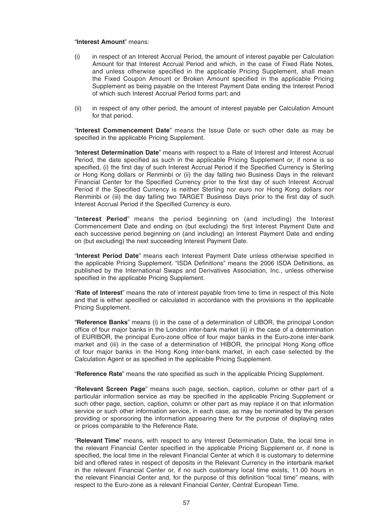#### "**Interest Amount**" means:

- (i) in respect of an Interest Accrual Period, the amount of interest payable per Calculation Amount for that Interest Accrual Period and which, in the case of Fixed Rate Notes, and unless otherwise specified in the applicable Pricing Supplement, shall mean the Fixed Coupon Amount or Broken Amount specified in the applicable Pricing Supplement as being payable on the Interest Payment Date ending the Interest Period of which such Interest Accrual Period forms part; and
- (ii) in respect of any other period, the amount of interest payable per Calculation Amount for that period.

 "**Interest Commencement Date**" means the Issue Date or such other date as may be specified in the applicable Pricing Supplement.

 "**Interest Determination Date**" means with respect to a Rate of Interest and Interest Accrual Period, the date specified as such in the applicable Pricing Supplement or, if none is so specified, (i) the first day of such Interest Accrual Period if the Specified Currency is Sterling or Hong Kong dollars or Renminbi or (ii) the day falling two Business Days in the relevant Financial Center for the Specified Currency prior to the first day of such Interest Accrual Period if the Specified Currency is neither Sterling nor euro nor Hong Kong dollars nor Renminbi or (iii) the day falling two TARGET Business Days prior to the first day of such Interest Accrual Period if the Specified Currency is euro.

 "**Interest Period**" means the period beginning on (and including) the Interest Commencement Date and ending on (but excluding) the first Interest Payment Date and each successive period beginning on (and including) an Interest Payment Date and ending on (but excluding) the next succeeding Interest Payment Date.

"Interest Period Date" means each Interest Payment Date unless otherwise specified in the applicable Pricing Supplement. "ISDA Definitions" means the 2006 ISDA Definitions, as published by the International Swaps and Derivatives Association, Inc., unless otherwise specified in the applicable Pricing Supplement.

 "**Rate of Interest**" means the rate of interest payable from time to time in respect of this Note and that is either specified or calculated in accordance with the provisions in the applicable Pricing Supplement.

 "**Reference Banks**" means (i) in the case of a determination of LIBOR, the principal London office of four major banks in the London inter-bank market (ii) in the case of a determination of EURIBOR, the principal Euro-zone office of four major banks in the Euro-zone inter-bank market and (iii) in the case of a determination of HIBOR, the principal Hong Kong office of four major banks in the Hong Kong inter-bank market, in each case selected by the Calculation Agent or as specified in the applicable Pricing Supplement.

"Reference Rate" means the rate specified as such in the applicable Pricing Supplement.

 "**Relevant Screen Page**" means such page, section, caption, column or other part of a particular information service as may be specified in the applicable Pricing Supplement or such other page, section, caption, column or other part as may replace it on that information service or such other information service, in each case, as may be nominated by the person providing or sponsoring the information appearing there for the purpose of displaying rates or prices comparable to the Reference Rate.

 "**Relevant Time**" means, with respect to any Interest Determination Date, the local time in the relevant Financial Center specified in the applicable Pricing Supplement or, if none is specified, the local time in the relevant Financial Center at which it is customary to determine bid and offered rates in respect of deposits in the Relevant Currency in the interbank market in the relevant Financial Center or, if no such customary local time exists, 11.00 hours in the relevant Financial Center and, for the purpose of this definition "local time" means, with respect to the Euro-zone as a relevant Financial Center, Central European Time.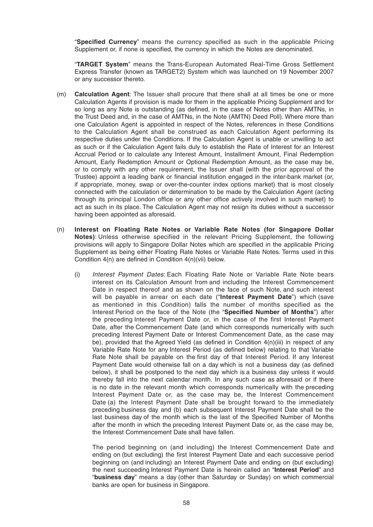"**Specified Currency**" means the currency specified as such in the applicable Pricing Supplement or, if none is specified, the currency in which the Notes are denominated.

 "**TARGET System**" means the Trans-European Automated Real-Time Gross Settlement Express Transfer (known as TARGET2) System which was launched on 19 November 2007 or any successor thereto.

- (m) **Calculation Agent**: The Issuer shall procure that there shall at all times be one or more Calculation Agents if provision is made for them in the applicable Pricing Supplement and for so long as any Note is outstanding (as defined, in the case of Notes other than AMTNs, in the Trust Deed and, in the case of AMTNs, in the Note (AMTN) Deed Poll). Where more than one Calculation Agent is appointed in respect of the Notes, references in these Conditions to the Calculation Agent shall be construed as each Calculation Agent performing its respective duties under the Conditions. If the Calculation Agent is unable or unwilling to act as such or if the Calculation Agent fails duly to establish the Rate of Interest for an Interest Accrual Period or to calculate any Interest Amount, Installment Amount, Final Redemption Amount, Early Redemption Amount or Optional Redemption Amount, as the case may be, or to comply with any other requirement, the Issuer shall (with the prior approval of the Trustee) appoint a leading bank or financial institution engaged in the inter-bank market (or, if appropriate, money, swap or over-the-counter index options market) that is most closely connected with the calculation or determination to be made by the Calculation Agent (acting through its principal London office or any other office actively involved in such market) to act as such in its place. The Calculation Agent may not resign its duties without a successor having been appointed as aforesaid.
- (n) **Interest on Floating Rate Notes or Variable Rate Notes (for Singapore Dollar Notes)**: Unless otherwise specified in the relevant Pricing Supplement, the following provisions will apply to Singapore Dollar Notes which are specified in the applicable Pricing Supplement as being either Floating Rate Notes or Variable Rate Notes . Terms used in this Condition  $4(n)$  are defined in Condition  $4(n)$ (vii) below.
	- (i) *Interest Payment Dates*: Each Floating Rate Note or Variable Rate Note bears interest on its Calculation Amount from and including the Interest Commencement Date in respect thereof and as shown on the face of such Note, and such interest will be payable in arrear on each date ("**Interest Payment Date**") which (save as mentioned in this Condition) falls the number of months specified as the Interest Period on the face of the Note (the "Specified Number of Months") after the preceding Interest Payment Date or, in the case of the first Interest Payment Date, after the Commencement Date (and which corresponds numerically with such preceding Interest Payment Date or Interest Commencement Date, as the case may be), provided that the Agreed Yield (as defined in Condition  $4(n)(iii)$  in respect of any Variable Rate Note for any Interest Period (as defined below) relating to that Variable Rate Note shall be payable on the first day of that Interest Period. If any Interest Payment Date would otherwise fall on a day which is not a business day (as defined below), it shall be postponed to the next day which is a business day unless it would thereby fall into the next calendar month. In any such case as aforesaid or if there is no date in the relevant month which corresponds numerically with the preceding Interest Payment Date or, as the case may be, the Interest Commencement Date (a) the Interest Payment Date shall be brought forward to the immediately preceding business day and (b) each subsequent Interest Payment Date shall be the last business day of the month which is the last of the Specified Number of Months after the month in which the preceding Interest Payment Date or, as the case may be, the Interest Commencement Date shall have fallen.

 The period beginning on (and including) the Interest Commencement Date and ending on (but excluding) the first Interest Payment Date and each successive period beginning on (and including) an Interest Payment Date and ending on (but excluding) the next succeeding Interest Payment Date is herein called an "**Interest Period**" and "**business day**" means a day (other than Saturday or Sunday) on which commercial banks are open for business in Singapore.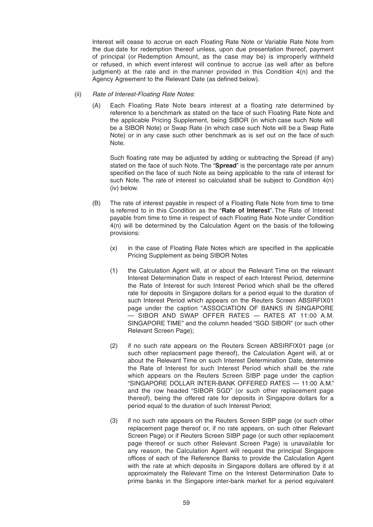Interest will cease to accrue on each Floating Rate Note or Variable Rate Note from the due date for redemption thereof unless, upon due presentation thereof, payment of principal (or Redemption Amount, as the case may be) is improperly withheld or refused, in which event interest will continue to accrue (as well after as before judgment) at the rate and in the manner provided in this Condition 4(n) and the Agency Agreement to the Relevant Date (as defined below).

#### (ii) *Rate of Interest-Floating Rate Notes*:

 (A) Each Floating Rate Note bears interest at a floating rate determined by reference to a benchmark as stated on the face of such Floating Rate Note and the applicable Pricing Supplement, being SIBOR (in which case such Note will be a SIBOR Note) or Swap Rate (in which case such Note will be a Swap Rate Note) or in any case such other benchmark as is set out on the face of such Note.

Such floating rate may be adjusted by adding or subtracting the Spread (if any) stated on the face of such Note. The "**Spread**" is the percentage rate per annum specified on the face of such Note as being applicable to the rate of interest for such Note. The rate of interest so calculated shall be subject to Condition 4(n) (iv) below.

- (B) The rate of interest payable in respect of a Floating Rate Note from time to time is referred to in this Condition as the "**Rate of Interest**". The Rate of Interest payable from time to time in respect of each Floating Rate Note under Condition 4(n) will be determined by the Calculation Agent on the basis of the following provisions:
	- $(x)$  in the case of Floating Rate Notes which are specified in the applicable Pricing Supplement as being SIBOR Notes
	- (1) the Calculation Agent will, at or about the Relevant Time on the relevant Interest Determination Date in respect of each Interest Period, determine the Rate of Interest for such Interest Period which shall be the offered rate for deposits in Singapore dollars for a period equal to the duration of such Interest Period which appears on the Reuters Screen ABSIRFIX01 page under the caption "ASSOCIATION OF BANKS IN SINGAPORE — SIBOR AND SWAP OFFER RATES — RATES AT 11:00 A.M. SINGAPORE TIME" and the column headed "SGD SIBOR" (or such other Relevant Screen Page);
	- (2) if no such rate appears on the Reuters Screen ABSIRFIX01 page (or such other replacement page thereof), the Calculation Agent will, at or about the Relevant Time on such Interest Determination Date, determine the Rate of Interest for such Interest Period which shall be the rate which appears on the Reuters Screen SIBP page under the caption "SINGAPORE DOLLAR INTER-BANK OFFERED RATES — 11:00 A.M." and the row headed "SIBOR SGD" (or such other replacement page thereof), being the offered rate for deposits in Singapore dollars for a period equal to the duration of such Interest Period;
	- (3) if no such rate appears on the Reuters Screen SIBP page (or such other replacement page thereof or, if no rate appears, on such other Relevant Screen Page) or if Reuters Screen SIBP page (or such other replacement page thereof or such other Relevant Screen Page) is unavailable for any reason, the Calculation Agent will request the principal Singapore offices of each of the Reference Banks to provide the Calculation Agent with the rate at which deposits in Singapore dollars are offered by it at approximately the Relevant Time on the Interest Determination Date to prime banks in the Singapore inter-bank market for a period equivalent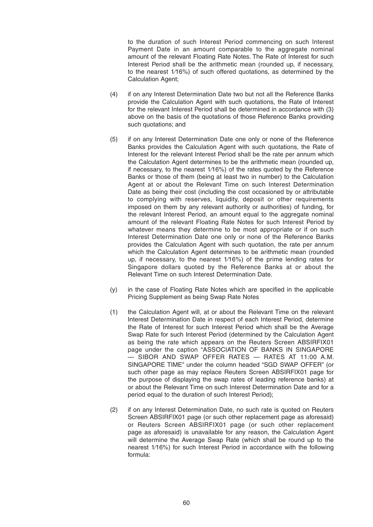to the duration of such Interest Period commencing on such Interest Payment Date in an amount comparable to the aggregate nominal amount of the relevant Floating Rate Notes. The Rate of Interest for such Interest Period shall be the arithmetic mean (rounded up, if necessary, to the nearest 1/16%) of such offered quotations, as determined by the Calculation Agent;

- (4) if on any Interest Determination Date two but not all the Reference Banks provide the Calculation Agent with such quotations, the Rate of Interest for the relevant Interest Period shall be determined in accordance with (3) above on the basis of the quotations of those Reference Banks providing such quotations; and
- (5) if on any Interest Determination Date one only or none of the Reference Banks provides the Calculation Agent with such quotations, the Rate of Interest for the relevant Interest Period shall be the rate per annum which the Calculation Agent determines to be the arithmetic mean (rounded up, if necessary, to the nearest  $1/16\%$ ) of the rates quoted by the Reference Banks or those of them (being at least two in number) to the Calculation Agent at or about the Relevant Time on such Interest Determination Date as being their cost (including the cost occasioned by or attributable to complying with reserves, liquidity, deposit or other requirements imposed on them by any relevant authority or authorities) of funding, for the relevant Interest Period, an amount equal to the aggregate nominal amount of the relevant Floating Rate Notes for such Interest Period by whatever means they determine to be most appropriate or if on such Interest Determination Date one only or none of the Reference Banks provides the Calculation Agent with such quotation, the rate per annum which the Calculation Agent determines to be arithmetic mean (rounded up, if necessary, to the nearest  $1/16\%$  of the prime lending rates for Singapore dollars quoted by the Reference Banks at or about the Relevant Time on such Interest Determination Date.
- $(y)$  in the case of Floating Rate Notes which are specified in the applicable Pricing Supplement as being Swap Rate Notes
- (1) the Calculation Agent will, at or about the Relevant Time on the relevant Interest Determination Date in respect of each Interest Period, determine the Rate of Interest for such Interest Period which shall be the Average Swap Rate for such Interest Period (determined by the Calculation Agent as being the rate which appears on the Reuters Screen ABSIRFIX01 page under the caption "ASSOCIATION OF BANKS IN SINGAPORE — SIBOR AND SWAP OFFER RATES — RATES AT 11:00 A.M. SINGAPORE TIME" under the column headed "SGD SWAP OFFER" (or such other page as may replace Reuters Screen ABSIRFIX01 page for the purpose of displaying the swap rates of leading reference banks) at or about the Relevant Time on such Interest Determination Date and for a period equal to the duration of such Interest Period);
- (2) if on any Interest Determination Date, no such rate is quoted on Reuters Screen ABSIRFIX01 page (or such other replacement page as aforesaid) or Reuters Screen ABSIRFIX01 page (or such other replacement page as aforesaid) is unavailable for any reason, the Calculation Agent will determine the Average Swap Rate (which shall be round up to the nearest 1/16%) for such Interest Period in accordance with the following formula: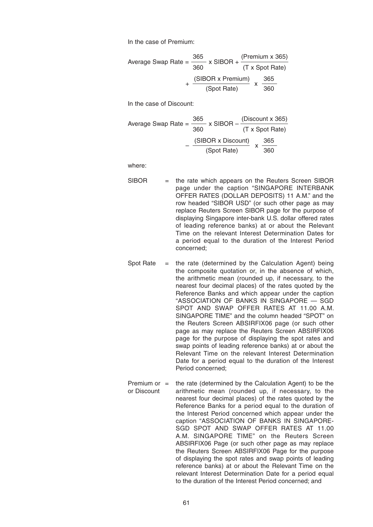In the case of Premium:

Average Swap Rate = 
$$
\frac{365}{360} \times \text{SIBOR} + \frac{(\text{Premium} \times 365)}{(\text{T} \times \text{Spot Rate})}
$$

$$
+ \frac{(\text{SIBOR} \times \text{Premium})}{(\text{Spot Rate})} \times \frac{365}{360}
$$

In the case of Discount:

Average Swap Rate = 
$$
\frac{365}{360} \times \text{SIBOR} - \frac{\text{(Discount x 365)}}{\text{(T x Spot Rate)}}
$$

$$
-\frac{\text{(SIBOR x Discount)}}{\text{(Spot Rate)}} \times \frac{365}{360}
$$

where:

- SIBOR = the rate which appears on the Reuters Screen SIBOR page under the caption "SINGAPORE INTERBANK OFFER RATES (DOLLAR DEPOSITS) 11 A.M." and the row headed "SIBOR USD" (or such other page as may replace Reuters Screen SIBOR page for the purpose of displaying Singapore inter-bank U.S. dollar offered rates of leading reference banks) at or about the Relevant Time on the relevant Interest Determination Dates for a period equal to the duration of the Interest Period concerned;
- Spot Rate  $=$  the rate (determined by the Calculation Agent) being the composite quotation or, in the absence of which, the arithmetic mean (rounded up, if necessary, to the nearest four decimal places) of the rates quoted by the Reference Banks and which appear under the caption "ASSOCIATION OF BANKS IN SINGAPORE — SGD SPOT AND SWAP OFFER RATES AT 11.00 A.M. SINGAPORE TIME" and the column headed "SPOT" on the Reuters Screen ABSIRFIX06 page (or such other page as may replace the Reuters Screen ABSIRFIX06 page for the purpose of displaying the spot rates and swap points of leading reference banks) at or about the Relevant Time on the relevant Interest Determination Date for a period equal to the duration of the Interest Period concerned;
- Premium or  $=$  the rate (determined by the Calculation Agent) to be the or Discount arithmetic mean (rounded up, if necessary, to the nearest four decimal places) of the rates quoted by the Reference Banks for a period equal to the duration of the Interest Period concerned which appear under the caption "ASSOCIATION OF BANKS IN SINGAPORE-SGD SPOT AND SWAP OFFER RATES AT 11.00 A.M. SINGAPORE TIME" on the Reuters Screen ABSIRFIX06 Page (or such other page as may replace the Reuters Screen ABSIRFIX06 Page for the purpose of displaying the spot rates and swap points of leading reference banks) at or about the Relevant Time on the relevant Interest Determination Date for a period equal to the duration of the Interest Period concerned; and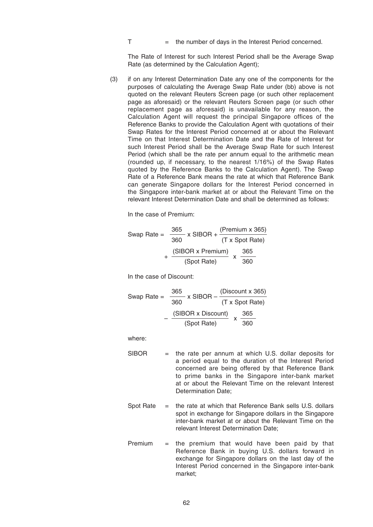$T =$  the number of days in the Interest Period concerned.

 The Rate of Interest for such Interest Period shall be the Average Swap Rate (as determined by the Calculation Agent);

 (3) if on any Interest Determination Date any one of the components for the purposes of calculating the Average Swap Rate under (bb) above is not quoted on the relevant Reuters Screen page (or such other replacement page as aforesaid) or the relevant Reuters Screen page (or such other replacement page as aforesaid) is unavailable for any reason, the Calculation Agent will request the principal Singapore offices of the Reference Banks to provide the Calculation Agent with quotations of their Swap Rates for the Interest Period concerned at or about the Relevant Time on that Interest Determination Date and the Rate of Interest for such Interest Period shall be the Average Swap Rate for such Interest Period (which shall be the rate per annum equal to the arithmetic mean (rounded up, if necessary, to the nearest 1/16 %) of the Swap Rates quoted by the Reference Banks to the Calculation Agent). The Swap Rate of a Reference Bank means the rate at which that Reference Bank can generate Singapore dollars for the Interest Period concerned in the Singapore inter-bank market at or about the Relevant Time on the relevant Interest Determination Date and shall be determined as follows:

In the case of Premium:

Swap Rate = 
$$
\frac{365}{360} \times \text{SIBOR} + \frac{(\text{Premium} \times 365)}{(\text{T} \times \text{Spot Rate})} + \frac{(\text{SIBOR} \times \text{Premium})}{(\text{Spot Rate})} \times \frac{365}{360}
$$

In the case of Discount:

Swap Rate = 
$$
\frac{365}{360} \times \text{SIBOR} - \frac{\text{(Discount x 365)}}{\text{(T x Spot Rate)}}
$$

\n
$$
-\frac{\text{(SIBOR x Discount)}}{\text{(Spot Rate)}}
$$

\n
$$
\times \frac{365}{360}
$$

where:

- $SIBOR$  = the rate per annum at which U.S. dollar deposits for a period equal to the duration of the Interest Period concerned are being offered by that Reference Bank to prime banks in the Singapore inter-bank market at or about the Relevant Time on the relevant Interest Determination Date;
- Spot Rate = the rate at which that Reference Bank sells U.S. dollars spot in exchange for Singapore dollars in the Singapore inter-bank market at or about the Relevant Time on the relevant Interest Determination Date;
- Premium  $=$  the premium that would have been paid by that Reference Bank in buying U.S. dollars forward in exchange for Singapore dollars on the last day of the Interest Period concerned in the Singapore inter-bank market;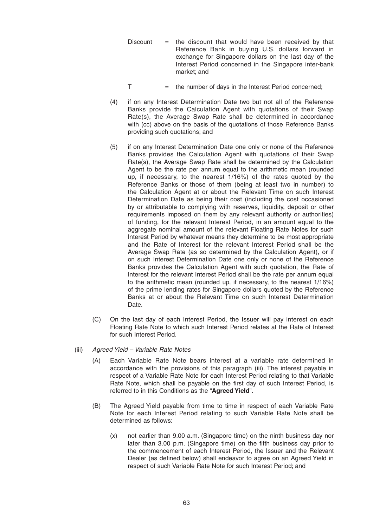- $Discount =$  the discount that would have been received by that Reference Bank in buying U.S. dollars forward in exchange for Singapore dollars on the last day of the Interest Period concerned in the Singapore inter-bank market; and
- $T =$  the number of days in the Interest Period concerned;
- (4) if on any Interest Determination Date two but not all of the Reference Banks provide the Calculation Agent with quotations of their Swap Rate(s), the Average Swap Rate shall be determined in accordance with (cc) above on the basis of the quotations of those Reference Banks providing such quotations; and
- (5) if on any Interest Determination Date one only or none of the Reference Banks provides the Calculation Agent with quotations of their Swap Rate(s), the Average Swap Rate shall be determined by the Calculation Agent to be the rate per annum equal to the arithmetic mean (rounded up, if necessary, to the nearest  $1/16\%$  of the rates quoted by the Reference Banks or those of them (being at least two in number) to the Calculation Agent at or about the Relevant Time on such Interest Determination Date as being their cost (including the cost occasioned by or attributable to complying with reserves, liquidity, deposit or other requirements imposed on them by any relevant authority or authorities) of funding, for the relevant Interest Period, in an amount equal to the aggregate nominal amount of the relevant Floating Rate Notes for such Interest Period by whatever means they determine to be most appropriate and the Rate of Interest for the relevant Interest Period shall be the Average Swap Rate (as so determined by the Calculation Agent), or if on such Interest Determination Date one only or none of the Reference Banks provides the Calculation Agent with such quotation, the Rate of Interest for the relevant Interest Period shall be the rate per annum equal to the arithmetic mean (rounded up, if necessary, to the nearest 1/16 %) of the prime lending rates for Singapore dollars quoted by the Reference Banks at or about the Relevant Time on such Interest Determination Date.
- (C) On the last day of each Interest Period, the Issuer will pay interest on each Floating Rate Note to which such Interest Period relates at the Rate of Interest for such Interest Period.
- (iii) *Agreed Yield Variable Rate Notes*
	- (A) Each Variable Rate Note bears interest at a variable rate determined in accordance with the provisions of this paragraph (iii). The interest payable in respect of a Variable Rate Note for each Interest Period relating to that Variable Rate Note, which shall be payable on the first day of such Interest Period, is referred to in this Conditions as the "**Agreed Yield**".
	- (B) The Agreed Yield payable from time to time in respect of each Variable Rate Note for each Interest Period relating to such Variable Rate Note shall be determined as follows:
		- (x) not earlier than 9.00 a.m. (Singapore time) on the ninth business day nor later than 3.00 p.m. (Singapore time) on the fifth business day prior to the commencement of each Interest Period, the Issuer and the Relevant Dealer (as defined below) shall endeavor to agree on an Agreed Yield in respect of such Variable Rate Note for such Interest Period; and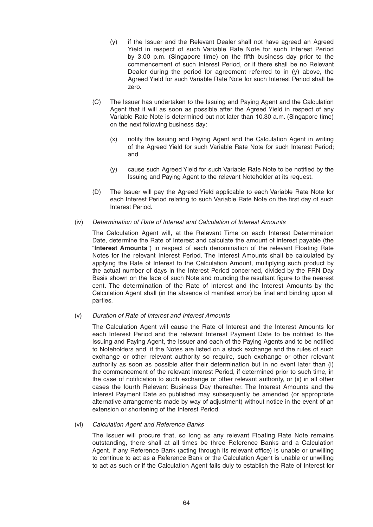- (y) if the Issuer and the Relevant Dealer shall not have agreed an Agreed Yield in respect of such Variable Rate Note for such Interest Period by 3.00 p.m. (Singapore time) on the fifth business day prior to the commencement of such Interest Period, or if there shall be no Relevant Dealer during the period for agreement referred to in (y) above, the Agreed Yield for such Variable Rate Note for such Interest Period shall be zero.
- (C) The Issuer has undertaken to the Issuing and Paying Agent and the Calculation Agent that it will as soon as possible after the Agreed Yield in respect of any Variable Rate Note is determined but not later than 10.30 a.m. (Singapore time) on the next following business day:
	- (x) notify the Issuing and Paying Agent and the Calculation Agent in writing of the Agreed Yield for such Variable Rate Note for such Interest Period; and
	- (y) cause such Agreed Yield for such Variable Rate Note to be notified by the Issuing and Paying Agent to the relevant Noteholder at its request.
- (D) The Issuer will pay the Agreed Yield applicable to each Variable Rate Note for each Interest Period relating to such Variable Rate Note on the first day of such Interest Period.

# (iv) *Determination of Rate of Interest and Calculation of Interest Amounts*

 The Calculation Agent will, at the Relevant Time on each Interest Determination Date, determine the Rate of Interest and calculate the amount of interest payable (the "**Interest Amounts**") in respect of each denomination of the relevant Floating Rate Notes for the relevant Interest Period. The Interest Amounts shall be calculated by applying the Rate of Interest to the Calculation Amount, multiplying such product by the actual number of days in the Interest Period concerned, divided by the FRN Day Basis shown on the face of such Note and rounding the resultant figure to the nearest cent. The determination of the Rate of Interest and the Interest Amounts by the Calculation Agent shall (in the absence of manifest error) be final and binding upon all parties.

# (v) *Duration of Rate of Interest and Interest Amounts*

 The Calculation Agent will cause the Rate of Interest and the Interest Amounts for each Interest Period and the relevant Interest Payment Date to be notified to the Issuing and Paying Agent, the Issuer and each of the Paying Agents and to be notified to Noteholders and, if the Notes are listed on a stock exchange and the rules of such exchange or other relevant authority so require, such exchange or other relevant authority as soon as possible after their determination but in no event later than (i) the commencement of the relevant Interest Period, if determined prior to such time, in the case of notification to such exchange or other relevant authority, or (ii) in all other cases the fourth Relevant Business Day thereafter. The Interest Amounts and the Interest Payment Date so published may subsequently be amended (or appropriate alternative arrangements made by way of adjustment) without notice in the event of an extension or shortening of the Interest Period.

# (vi) *Calculation Agent and Reference Banks*

 The Issuer will procure that, so long as any relevant Floating Rate Note remains outstanding, there shall at all times be three Reference Banks and a Calculation Agent. If any Reference Bank (acting through its relevant office) is unable or unwilling to continue to act as a Reference Bank or the Calculation Agent is unable or unwilling to act as such or if the Calculation Agent fails duly to establish the Rate of Interest for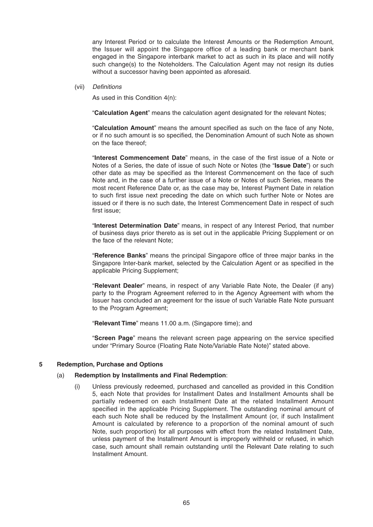any Interest Period or to calculate the Interest Amounts or the Redemption Amount, the Issuer will appoint the Singapore office of a leading bank or merchant bank engaged in the Singapore interbank market to act as such in its place and will notify such change(s) to the Noteholders. The Calculation Agent may not resign its duties without a successor having been appointed as aforesaid.

(vii) *Defi nitions*

As used in this Condition 4(n):

"**Calculation Agent**" means the calculation agent designated for the relevant Notes;

"Calculation Amount" means the amount specified as such on the face of any Note, or if no such amount is so specified, the Denomination Amount of such Note as shown on the face thereof;

"**Interest Commencement Date**" means, in the case of the first issue of a Note or Notes of a Series, the date of issue of such Note or Notes (the "**Issue Date**") or such other date as may be specified as the Interest Commencement on the face of such Note and, in the case of a further issue of a Note or Notes of such Series, means the most recent Reference Date or, as the case may be, Interest Payment Date in relation to such first issue next preceding the date on which such further Note or Notes are issued or if there is no such date, the Interest Commencement Date in respect of such first issue:

 "**Interest Determination Date**" means, in respect of any Interest Period, that number of business days prior thereto as is set out in the applicable Pricing Supplement or on the face of the relevant Note;

"Reference Banks" means the principal Singapore office of three major banks in the Singapore Inter-bank market, selected by the Calculation Agent or as specified in the applicable Pricing Supplement;

 "**Relevant Dealer**" means, in respect of any Variable Rate Note, the Dealer (if any) party to the Program Agreement referred to in the Agency Agreement with whom the Issuer has concluded an agreement for the issue of such Variable Rate Note pursuant to the Program Agreement;

"**Relevant Time**" means 11.00 a.m. (Singapore time); and

"**Screen Page**" means the relevant screen page appearing on the service specified under "Primary Source (Floating Rate Note/Variable Rate Note)" stated above.

#### **5 Redemption, Purchase and Options**

#### (a) **Redemption by Installments and Final Redemption**:

 (i) Unless previously redeemed, purchased and cancelled as provided in this Condition 5, each Note that provides for Installment Dates and Installment Amounts shall be partially redeemed on each Installment Date at the related Installment Amount specified in the applicable Pricing Supplement. The outstanding nominal amount of each such Note shall be reduced by the Installment Amount (or, if such Installment Amount is calculated by reference to a proportion of the nominal amount of such Note, such proportion) for all purposes with effect from the related Installment Date, unless payment of the Installment Amount is improperly withheld or refused, in which case, such amount shall remain outstanding until the Relevant Date relating to such Installment Amount.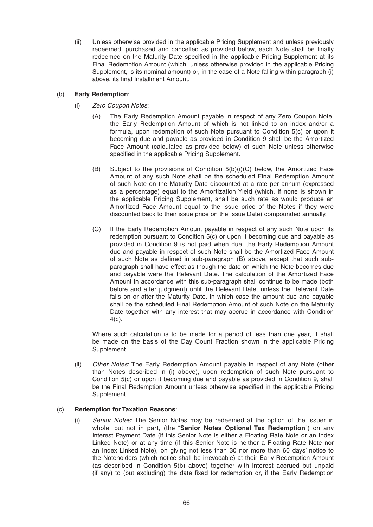(ii) Unless otherwise provided in the applicable Pricing Supplement and unless previously redeemed, purchased and cancelled as provided below, each Note shall be finally redeemed on the Maturity Date specified in the applicable Pricing Supplement at its Final Redemption Amount (which, unless otherwise provided in the applicable Pricing Supplement, is its nominal amount) or, in the case of a Note falling within paragraph (i) above, its final Installment Amount.

# (b) **Early Redemption**:

- (i) *Zero Coupon Notes*:
	- (A) The Early Redemption Amount payable in respect of any Zero Coupon Note, the Early Redemption Amount of which is not linked to an index and/or a formula, upon redemption of such Note pursuant to Condition 5(c) or upon it becoming due and payable as provided in Condition 9 shall be the Amortized Face Amount (calculated as provided below) of such Note unless otherwise specified in the applicable Pricing Supplement.
	- (B) Subject to the provisions of Condition 5(b)(i)(C) below, the Amortized Face Amount of any such Note shall be the scheduled Final Redemption Amount of such Note on the Maturity Date discounted at a rate per annum (expressed as a percentage) equal to the Amortization Yield (which, if none is shown in the applicable Pricing Supplement, shall be such rate as would produce an Amortized Face Amount equal to the issue price of the Notes if they were discounted back to their issue price on the Issue Date) compounded annually.
	- (C) If the Early Redemption Amount payable in respect of any such Note upon its redemption pursuant to Condition 5(c) or upon it becoming due and payable as provided in Condition 9 is not paid when due, the Early Redemption Amount due and payable in respect of such Note shall be the Amortized Face Amount of such Note as defined in sub-paragraph  $(B)$  above, except that such subparagraph shall have effect as though the date on which the Note becomes due and payable were the Relevant Date. The calculation of the Amortized Face Amount in accordance with this sub-paragraph shall continue to be made (both before and after judgment) until the Relevant Date, unless the Relevant Date falls on or after the Maturity Date, in which case the amount due and payable shall be the scheduled Final Redemption Amount of such Note on the Maturity Date together with any interest that may accrue in accordance with Condition 4(c).

 Where such calculation is to be made for a period of less than one year, it shall be made on the basis of the Day Count Fraction shown in the applicable Pricing Supplement.

(ii) *Other Notes*: The Early Redemption Amount payable in respect of any Note (other than Notes described in (i) above), upon redemption of such Note pursuant to Condition 5(c) or upon it becoming due and payable as provided in Condition 9, shall be the Final Redemption Amount unless otherwise specified in the applicable Pricing Supplement.

# (c) **Redemption for Taxation Reasons**:

(i) *Senior Notes*: The Senior Notes may be redeemed at the option of the Issuer in whole, but not in part, (the "**Senior Notes Optional Tax Redemption**") on any Interest Payment Date (if this Senior Note is either a Floating Rate Note or an Index Linked Note) or at any time (if this Senior Note is neither a Floating Rate Note nor an Index Linked Note), on giving not less than 30 nor more than 60 days' notice to the Noteholders (which notice shall be irrevocable) at their Early Redemption Amount (as described in Condition 5(b) above) together with interest accrued but unpaid (if any) to (but excluding) the date fixed for redemption or, if the Early Redemption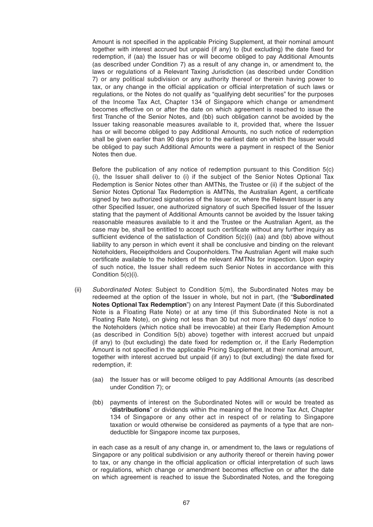Amount is not specified in the applicable Pricing Supplement, at their nominal amount together with interest accrued but unpaid (if any) to (but excluding) the date fixed for redemption, if (aa) the Issuer has or will become obliged to pay Additional Amounts (as described under Condition 7) as a result of any change in, or amendment to, the laws or regulations of a Relevant Taxing Jurisdiction (as described under Condition 7) or any political subdivision or any authority thereof or therein having power to tax, or any change in the official application or official interpretation of such laws or regulations, or the Notes do not qualify as "qualifying debt securities" for the purposes of the Income Tax Act, Chapter 134 of Singapore which change or amendment becomes effective on or after the date on which agreement is reached to issue the first Tranche of the Senior Notes, and (bb) such obligation cannot be avoided by the Issuer taking reasonable measures available to it, provided that, where the Issuer has or will become obliged to pay Additional Amounts, no such notice of redemption shall be given earlier than 90 days prior to the earliest date on which the Issuer would be obliged to pay such Additional Amounts were a payment in respect of the Senior Notes then due.

 Before the publication of any notice of redemption pursuant to this Condition 5(c) (i), the Issuer shall deliver to (i) if the subject of the Senior Notes Optional Tax Redemption is Senior Notes other than AMTNs, the Trustee or (ii) if the subject of the Senior Notes Optional Tax Redemption is AMTNs, the Australian Agent, a certificate signed by two authorized signatories of the Issuer or, where the Relevant Issuer is any other Specified Issuer, one authorized signatory of such Specified Issuer of the Issuer stating that the payment of Additional Amounts cannot be avoided by the Issuer taking reasonable measures available to it and the Trustee or the Australian Agent, as the case may be, shall be entitled to accept such certificate without any further inquiry as sufficient evidence of the satisfaction of Condition  $5(c)(i)$  (aa) and (bb) above without liability to any person in which event it shall be conclusive and binding on the relevant Noteholders, Receiptholders and Couponholders. The Australian Agent will make such certificate available to the holders of the relevant AMTNs for inspection. Upon expiry of such notice, the Issuer shall redeem such Senior Notes in accordance with this Condition 5(c)(i).

- (ii) *Subordinated Notes*: Subject to Condition 5(m), the Subordinated Notes may be redeemed at the option of the Issuer in whole, but not in part, (the "**Subordinated Notes Optional Tax Redemption**") on any Interest Payment Date (if this Subordinated Note is a Floating Rate Note) or at any time (if this Subordinated Note is not a Floating Rate Note), on giving not less than 30 but not more than 60 days' notice to the Noteholders (which notice shall be irrevocable) at their Early Redemption Amount (as described in Condition 5(b) above) together with interest accrued but unpaid (if any) to (but excluding) the date fixed for redemption or, if the Early Redemption Amount is not specified in the applicable Pricing Supplement, at their nominal amount, together with interest accrued but unpaid (if any) to (but excluding) the date fixed for redemption, if:
	- (aa) the Issuer has or will become obliged to pay Additional Amounts (as described under Condition 7); or
	- (bb) payments of interest on the Subordinated Notes will or would be treated as "**distributions**" or dividends within the meaning of the Income Tax Act, Chapter 134 of Singapore or any other act in respect of or relating to Singapore taxation or would otherwise be considered as payments of a type that are nondeductible for Singapore income tax purposes,

 in each case as a result of any change in, or amendment to, the laws or regulations of Singapore or any political subdivision or any authority thereof or therein having power to tax, or any change in the official application or official interpretation of such laws or regulations, which change or amendment becomes effective on or after the date on which agreement is reached to issue the Subordinated Notes, and the foregoing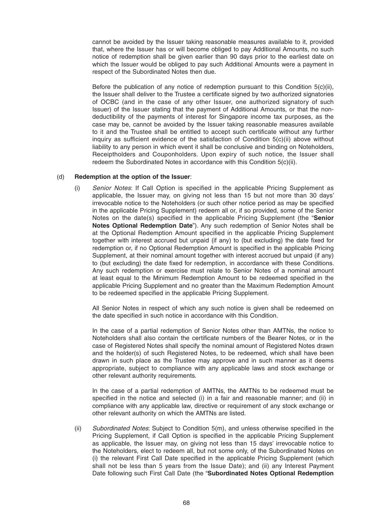cannot be avoided by the Issuer taking reasonable measures available to it, provided that, where the Issuer has or will become obliged to pay Additional Amounts, no such notice of redemption shall be given earlier than 90 days prior to the earliest date on which the Issuer would be obliged to pay such Additional Amounts were a payment in respect of the Subordinated Notes then due.

Before the publication of any notice of redemption pursuant to this Condition  $5(c)(ii)$ , the Issuer shall deliver to the Trustee a certificate signed by two authorized signatories of OCBC (and in the case of any other Issuer, one authorized signatory of such Issuer) of the Issuer stating that the payment of Additional Amounts, or that the nondeductibility of the payments of interest for Singapore income tax purposes, as the case may be, cannot be avoided by the Issuer taking reasonable measures available to it and the Trustee shall be entitled to accept such certificate without any further inquiry as sufficient evidence of the satisfaction of Condition  $5(c)(ii)$  above without liability to any person in which event it shall be conclusive and binding on Noteholders, Receiptholders and Couponholders. Upon expiry of such notice, the Issuer shall redeem the Subordinated Notes in accordance with this Condition 5(c)(ii).

### (d) **Redemption at the option of the Issuer**:

(i) *Senior Notes*: If Call Option is specified in the applicable Pricing Supplement as applicable, the Issuer may, on giving not less than 15 but not more than 30 days' irrevocable notice to the Noteholders (or such other notice period as may be specified in the applicable Pricing Supplement) redeem all or, if so provided, some of the Senior Notes on the date(s) specified in the applicable Pricing Supplement (the "**Senior Notes Optional Redemption Date**"). Any such redemption of Senior Notes shall be at the Optional Redemption Amount specified in the applicable Pricing Supplement together with interest accrued but unpaid (if any) to (but excluding) the date fixed for redemption or, if no Optional Redemption Amount is specified in the applicable Pricing Supplement, at their nominal amount together with interest accrued but unpaid (if any) to (but excluding) the date fixed for redemption, in accordance with these Conditions. Any such redemption or exercise must relate to Senior Notes of a nominal amount at least equal to the Minimum Redemption Amount to be redeemed specified in the applicable Pricing Supplement and no greater than the Maximum Redemption Amount to be redeemed specified in the applicable Pricing Supplement.

 All Senior Notes in respect of which any such notice is given shall be redeemed on the date specified in such notice in accordance with this Condition.

 In the case of a partial redemption of Senior Notes other than AMTNs, the notice to Noteholders shall also contain the certificate numbers of the Bearer Notes, or in the case of Registered Notes shall specify the nominal amount of Registered Notes drawn and the holder(s) of such Registered Notes, to be redeemed, which shall have been drawn in such place as the Trustee may approve and in such manner as it deems appropriate, subject to compliance with any applicable laws and stock exchange or other relevant authority requirements.

 In the case of a partial redemption of AMTNs, the AMTNs to be redeemed must be specified in the notice and selected (i) in a fair and reasonable manner; and (ii) in compliance with any applicable law, directive or requirement of any stock exchange or other relevant authority on which the AMTNs are listed.

(ii) *Subordinated Notes*: Subject to Condition 5(m), and unless otherwise specified in the Pricing Supplement, if Call Option is specified in the applicable Pricing Supplement as applicable, the Issuer may, on giving not less than 15 days' irrevocable notice to the Noteholders, elect to redeem all, but not some only, of the Subordinated Notes on (i) the relevant First Call Date specified in the applicable Pricing Supplement (which shall not be less than 5 years from the Issue Date); and (ii) any Interest Payment Date following such First Call Date (the "**Subordinated Notes Optional Redemption**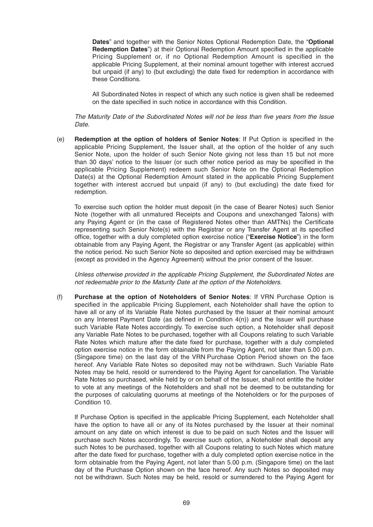**Dates**" and together with the Senior Notes Optional Redemption Date, the "**Optional Redemption Dates**") at their Optional Redemption Amount specified in the applicable Pricing Supplement or, if no Optional Redemption Amount is specified in the applicable Pricing Supplement, at their nominal amount together with interest accrued but unpaid (if any) to (but excluding) the date fixed for redemption in accordance with these Conditions.

 All Subordinated Notes in respect of which any such notice is given shall be redeemed on the date specified in such notice in accordance with this Condition.

*The Maturity Date of the Subordinated Notes will not be less than five years from the Issue Date*.

(e) **Redemption at the option of holders of Senior Notes**: If Put Option is specified in the applicable Pricing Supplement, the Issuer shall, at the option of the holder of any such Senior Note, upon the holder of such Senior Note giving not less than 15 but not more than 30 days' notice to the Issuer (or such other notice period as may be specified in the applicable Pricing Supplement) redeem such Senior Note on the Optional Redemption Date(s) at the Optional Redemption Amount stated in the applicable Pricing Supplement together with interest accrued but unpaid (if any) to (but excluding) the date fixed for redemption.

 To exercise such option the holder must deposit (in the case of Bearer Notes) such Senior Note (together with all unmatured Receipts and Coupons and unexchanged Talons) with any Paying Agent or (in the case of Registered Notes other than AMTNs) the Certificate representing such Senior Note(s) with the Registrar or any Transfer Agent at its specified office, together with a duly completed option exercise notice ("**Exercise Notice**") in the form obtainable from any Paying Agent, the Registrar or any Transfer Agent (as applicable) within the notice period. No such Senior Note so deposited and option exercised may be withdrawn (except as provided in the Agency Agreement) without the prior consent of the Issuer.

 *Unless otherwise provided in the applicable Pricing Supplement, the Subordinated Notes are not redeemable prior to the Maturity Date at the option of the Noteholders*.

(f) **Purchase at the option of Noteholders of Senior Notes**: If VRN Purchase Option is specified in the applicable Pricing Supplement, each Noteholder shall have the option to have all or any of its Variable Rate Notes purchased by the Issuer at their nominal amount on any Interest Payment Date (as defined in Condition  $4(n)$ ) and the Issuer will purchase such Variable Rate Notes accordingly. To exercise such option, a Noteholder shall deposit any Variable Rate Notes to be purchased, together with all Coupons relating to such Variable Rate Notes which mature after the date fixed for purchase, together with a duly completed option exercise notice in the form obtainable from the Paying Agent, not later than 5.00 p.m. (Singapore time) on the last day of the VRN Purchase Option Period shown on the face hereof. Any Variable Rate Notes so deposited may not be withdrawn. Such Variable Rate Notes may be held, resold or surrendered to the Paying Agent for cancellation. The Variable Rate Notes so purchased, while held by or on behalf of the Issuer, shall not entitle the holder to vote at any meetings of the Noteholders and shall not be deemed to be outstanding for the purposes of calculating quorums at meetings of the Noteholders or for the purposes of Condition 10.

If Purchase Option is specified in the applicable Pricing Supplement, each Noteholder shall have the option to have all or any of its Notes purchased by the Issuer at their nominal amount on any date on which interest is due to be paid on such Notes and the Issuer will purchase such Notes accordingly. To exercise such option, a Noteholder shall deposit any such Notes to be purchased, together with all Coupons relating to such Notes which mature after the date fixed for purchase, together with a duly completed option exercise notice in the form obtainable from the Paying Agent, not later than 5.00 p.m. (Singapore time) on the last day of the Purchase Option shown on the face hereof. Any such Notes so deposited may not be withdrawn. Such Notes may be held, resold or surrendered to the Paying Agent for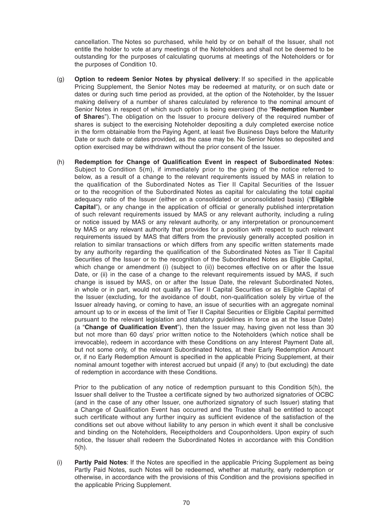cancellation. The Notes so purchased, while held by or on behalf of the Issuer, shall not entitle the holder to vote at any meetings of the Noteholders and shall not be deemed to be outstanding for the purposes of calculating quorums at meetings of the Noteholders or for the purposes of Condition 10.

- (g) **Option to redeem Senior Notes by physical delivery**: If so specified in the applicable Pricing Supplement, the Senior Notes may be redeemed at maturity, or on such date or dates or during such time period as provided, at the option of the Noteholder, by the Issuer making delivery of a number of shares calculated by reference to the nominal amount of Senior Notes in respect of which such option is being exercised (the "**Redemption Number of Share**s"). The obligation on the Issuer to procure delivery of the required number of shares is subject to the exercising Noteholder depositing a duly completed exercise notice in the form obtainable from the Paying Agent, at least five Business Days before the Maturity Date or such date or dates provided, as the case may be. No Senior Notes so deposited and option exercised may be withdrawn without the prior consent of the Issuer.
- (h) Redemption for Change of Qualification Event in respect of Subordinated Notes: Subject to Condition 5(m), if immediately prior to the giving of the notice referred to below, as a result of a change to the relevant requirements issued by MAS in relation to the qualification of the Subordinated Notes as Tier II Capital Securities of the Issuer or to the recognition of the Subordinated Notes as capital for calculating the total capital adequacy ratio of the Issuer (either on a consolidated or unconsolidated basis) ("**Eligible Capital**"), or any change in the application of official or generally published interpretation of such relevant requirements issued by MAS or any relevant authority, including a ruling or notice issued by MAS or any relevant authority, or any interpretation or pronouncement by MAS or any relevant authority that provides for a position with respect to such relevant requirements issued by MAS that differs from the previously generally accepted position in relation to similar transactions or which differs from any specific written statements made by any authority regarding the qualification of the Subordinated Notes as Tier II Capital Securities of the Issuer or to the recognition of the Subordinated Notes as Eligible Capital, which change or amendment (i) (subject to (ii)) becomes effective on or after the Issue Date, or (ii) in the case of a change to the relevant requirements issued by MAS, if such change is issued by MAS, on or after the Issue Date, the relevant Subordinated Notes, in whole or in part, would not qualify as Tier II Capital Securities or as Eligible Capital of the Issuer (excluding, for the avoidance of doubt, non-qualification solely by virtue of the Issuer already having, or coming to have, an issue of securities with an aggregate nominal amount up to or in excess of the limit of Tier II Capital Securities or Eligible Capital permitted pursuant to the relevant legislation and statutory guidelines in force as at the Issue Date) (a "**Change of Qualification Event**"), then the Issuer may, having given not less than 30 but not more than 60 days' prior written notice to the Noteholders (which notice shall be irrevocable), redeem in accordance with these Conditions on any Interest Payment Date all, but not some only, of the relevant Subordinated Notes, at their Early Redemption Amount or, if no Early Redemption Amount is specified in the applicable Pricing Supplement, at their nominal amount together with interest accrued but unpaid (if any) to (but excluding) the date of redemption in accordance with these Conditions.

 Prior to the publication of any notice of redemption pursuant to this Condition 5(h), the Issuer shall deliver to the Trustee a certificate signed by two authorized signatories of OCBC (and in the case of any other Issuer, one authorized signatory of such Issuer) stating that a Change of Qualification Event has occurred and the Trustee shall be entitled to accept such certificate without any further inquiry as sufficient evidence of the satisfaction of the conditions set out above without liability to any person in which event it shall be conclusive and binding on the Noteholders, Receiptholders and Couponholders. Upon expiry of such notice, the Issuer shall redeem the Subordinated Notes in accordance with this Condition 5(h).

(i) **Partly Paid Notes:** If the Notes are specified in the applicable Pricing Supplement as being Partly Paid Notes, such Notes will be redeemed, whether at maturity, early redemption or otherwise, in accordance with the provisions of this Condition and the provisions specified in the applicable Pricing Supplement.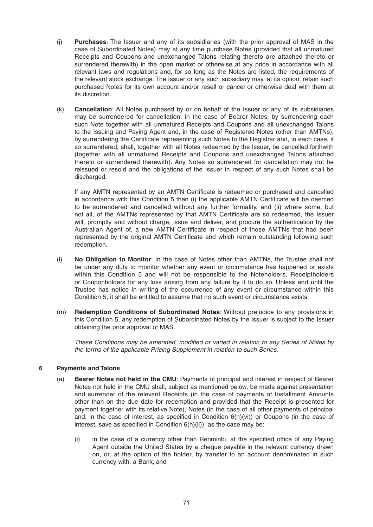- (j) **Purchases**: The Issuer and any of its subsidiaries (with the prior approval of MAS in the case of Subordinated Notes) may at any time purchase Notes (provided that all unmatured Receipts and Coupons and unexchanged Talons relating thereto are attached thereto or surrendered therewith) in the open market or otherwise at any price in accordance with all relevant laws and regulations and, for so long as the Notes are listed, the requirements of the relevant stock exchange. The Issuer or any such subsidiary may, at its option, retain such purchased Notes for its own account and/or resell or cancel or otherwise deal with them at its discretion.
- (k) **Cancellation**: All Notes purchased by or on behalf of the Issuer or any of its subsidiaries may be surrendered for cancellation, in the case of Bearer Notes, by surrendering each such Note together with all unmatured Receipts and Coupons and all unexchanged Talons to the Issuing and Paying Agent and, in the case of Registered Notes (other than AMTNs), by surrendering the Certificate representing such Notes to the Registrar and, in each case, if so surrendered, shall, together with all Notes redeemed by the Issuer, be cancelled forthwith (together with all unmatured Receipts and Coupons and unexchanged Talons attached thereto or surrendered therewith). Any Notes so surrendered for cancellation may not be reissued or resold and the obligations of the Issuer in respect of any such Notes shall be discharged.

If any AMTN represented by an AMTN Certificate is redeemed or purchased and cancelled in accordance with this Condition 5 then (i) the applicable AMTN Certificate will be deemed to be surrendered and cancelled without any further formality, and (ii) where some, but not all, of the AMTNs represented by that AMTN Certificate are so redeemed, the Issuer will, promptly and without charge, issue and deliver, and procure the authentication by the Australian Agent of, a new AMTN Certificate in respect of those AMTNs that had been represented by the original AMTN Certificate and which remain outstanding following such redemption.

- (l) **No Obligation to Monitor**: In the case of Notes other than AMTNs, the Trustee shall not be under any duty to monitor whether any event or circumstance has happened or exists within this Condition 5 and will not be responsible to the Noteholders, Receiptholders or Couponholders for any loss arising from any failure by it to do so. Unless and until the Trustee has notice in writing of the occurrence of any event or circumstance within this Condition 5, it shall be entitled to assume that no such event or circumstance exists.
- (m) **Redemption Conditions of Subordinated Notes**: Without prejudice to any provisions in this Condition 5, any redemption of Subordinated Notes by the Issuer is subject to the Issuer obtaining the prior approval of MAS.

*These Conditions may be amended, modified or varied in relation to any Series of Notes by the terms of the applicable Pricing Supplement in relation to such Series*.

# **6 Payments and Talons**

- (a) **Bearer Notes not held in the CMU**: Payments of principal and interest in respect of Bearer Notes not held in the CMU shall, subject as mentioned below, be made against presentation and surrender of the relevant Receipts (in the case of payments of Installment Amounts other than on the due date for redemption and provided that the Receipt is presented for payment together with its relative Note), Notes (in the case of all other payments of principal and, in the case of interest, as specified in Condition  $6(h)(vi)$  or Coupons (in the case of interest, save as specified in Condition  $6(h)(ii)$ , as the case may be:
	- (i) in the case of a currency other than Renminbi, at the specified office of any Paying Agent outside the United States by a cheque payable in the relevant currency drawn on, or, at the option of the holder, by transfer to an account denominated in such currency with, a Bank; and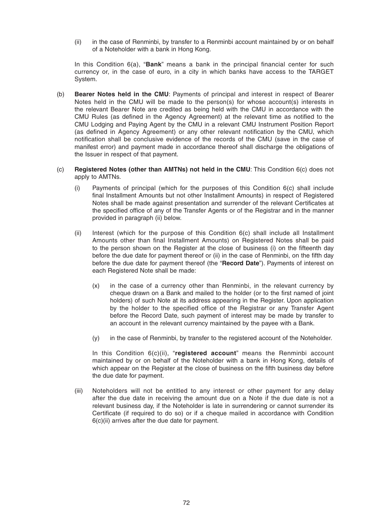(ii) in the case of Renminbi, by transfer to a Renminbi account maintained by or on behalf of a Noteholder with a bank in Hong Kong.

In this Condition 6(a), "**Bank**" means a bank in the principal financial center for such currency or, in the case of euro, in a city in which banks have access to the TARGET System.

- (b) **Bearer Notes held in the CMU**: Payments of principal and interest in respect of Bearer Notes held in the CMU will be made to the person(s) for whose account(s) interests in the relevant Bearer Note are credited as being held with the CMU in accordance with the CMU Rules (as defined in the Agency Agreement) at the relevant time as notified to the CMU Lodging and Paying Agent by the CMU in a relevant CMU Instrument Position Report (as defined in Agency Agreement) or any other relevant notification by the CMU, which notification shall be conclusive evidence of the records of the CMU (save in the case of manifest error) and payment made in accordance thereof shall discharge the obligations of the Issuer in respect of that payment.
- (c) **Registered Notes (other than AMTNs) not held in the CMU**: This Condition 6(c) does not apply to AMTNs.
	- (i) Payments of principal (which for the purposes of this Condition 6(c) shall include final Installment Amounts but not other Installment Amounts) in respect of Registered Notes shall be made against presentation and surrender of the relevant Certificates at the specified office of any of the Transfer Agents or of the Registrar and in the manner provided in paragraph (ii) below.
	- (ii) Interest (which for the purpose of this Condition  $6(c)$  shall include all Installment Amounts other than final Installment Amounts) on Registered Notes shall be paid to the person shown on the Register at the close of business (i) on the fifteenth day before the due date for payment thereof or (ii) in the case of Renminbi, on the fifth day before the due date for payment thereof (the "**Record Date**"). Payments of interest on each Registered Note shall be made:
		- (x) in the case of a currency other than Renminbi, in the relevant currency by cheque drawn on a Bank and mailed to the holder (or to the first named of joint holders) of such Note at its address appearing in the Register. Upon application by the holder to the specified office of the Registrar or any Transfer Agent before the Record Date, such payment of interest may be made by transfer to an account in the relevant currency maintained by the payee with a Bank.
		- (y) in the case of Renminbi, by transfer to the registered account of the Noteholder.

 In this Condition 6(c)(ii), "**registered account**" means the Renminbi account maintained by or on behalf of the Noteholder with a bank in Hong Kong, details of which appear on the Register at the close of business on the fifth business day before the due date for payment.

 (iii) Noteholders will not be entitled to any interest or other payment for any delay after the due date in receiving the amount due on a Note if the due date is not a relevant business day, if the Noteholder is late in surrendering or cannot surrender its Certificate (if required to do so) or if a cheque mailed in accordance with Condition  $6(c)$ (ii) arrives after the due date for payment.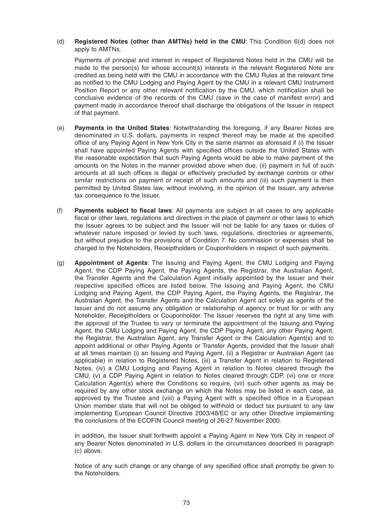(d) **Registered Notes (other than AMTNs) held in the CMU**: This Condition 6(d) does not apply to AMTNs.

 Payments of principal and interest in respect of Registered Notes held in the CMU will be made to the person(s) for whose account(s) interests in the relevant Registered Note are credited as being held with the CMU in accordance with the CMU Rules at the relevant time as notified to the CMU Lodging and Paying Agent by the CMU in a relevant CMU Instrument Position Report or any other relevant notification by the CMU, which notification shall be conclusive evidence of the records of the CMU (save in the case of manifest error) and payment made in accordance thereof shall discharge the obligations of the Issuer in respect of that payment.

- (e) **Payments in the United States**: Notwithstanding the foregoing, if any Bearer Notes are denominated in U.S. dollars, payments in respect thereof may be made at the specified office of any Paying Agent in New York City in the same manner as aforesaid if (i) the Issuer shall have appointed Paying Agents with specified offices outside the United States with the reasonable expectation that such Paying Agents would be able to make payment of the amounts on the Notes in the manner provided above when due, (ii) payment in full of such amounts at all such offices is illegal or effectively precluded by exchange controls or other similar restrictions on payment or receipt of such amounts and (iii) such payment is then permitted by United States law, without involving, in the opinion of the Issuer, any adverse tax consequence to the Issuer.
- (f) Payments subject to fiscal laws: All payments are subject in all cases to any applicable fiscal or other laws, regulations and directives in the place of payment or other laws to which the Issuer agrees to be subject and the Issuer will not be liable for any taxes or duties of whatever nature imposed or levied by such laws, regulations, directories or agreements, but without prejudice to the provisions of Condition 7. No commission or expenses shall be charged to the Noteholders, Receiptholders or Couponholders in respect of such payments.
- (g) **Appointment of Agents**: The Issuing and Paying Agent, the CMU Lodging and Paying Agent, the CDP Paying Agent, the Paying Agents, the Registrar, the Australian Agent, the Transfer Agents and the Calculation Agent initially appointed by the Issuer and their respective specified offices are listed below. The Issuing and Paying Agent, the CMU Lodging and Paying Agent, the CDP Paying Agent, the Paying Agents, the Registrar, the Australian Agent, the Transfer Agents and the Calculation Agent act solely as agents of the Issuer and do not assume any obligation or relationship of agency or trust for or with any Noteholder, Receiptholders or Couponholder. The Issuer reserves the right at any time with the approval of the Trustee to vary or terminate the appointment of the Issuing and Paying Agent, the CMU Lodging and Paying Agent, the CDP Paying Agent, any other Paying Agent, the Registrar, the Australian Agent, any Transfer Agent or the Calculation Agent(s) and to appoint additional or other Paying Agents or Transfer Agents, provided that the Issuer shall at all times maintain (i) an Issuing and Paying Agent, (ii) a Registrar or Australian Agent (as applicable) in relation to Registered Notes, (iii) a Transfer Agent in relation to Registered Notes, (iv) a CMU Lodging and Paying Agent in relation to Notes cleared through the CMU, (v) a CDP Paying Agent in relation to Notes cleared through CDP, (vi) one or more Calculation Agent(s) where the Conditions so require, (vii) such other agents as may be required by any other stock exchange on which the Notes may be listed in each case, as approved by the Trustee and (viii) a Paying Agent with a specified office in a European Union member state that will not be obliged to withhold or deduct tax pursuant to any law implementing European Council Directive 2003/48/EC or any other Directive implementing the conclusions of the ECOFIN Council meeting of 26-27 November 2000.

 In addition, the Issuer shall forthwith appoint a Paying Agent in New York City in respect of any Bearer Notes denominated in U.S. dollars in the circumstances described in paragraph (c) above.

Notice of any such change or any change of any specified office shall promptly be given to the Noteholders.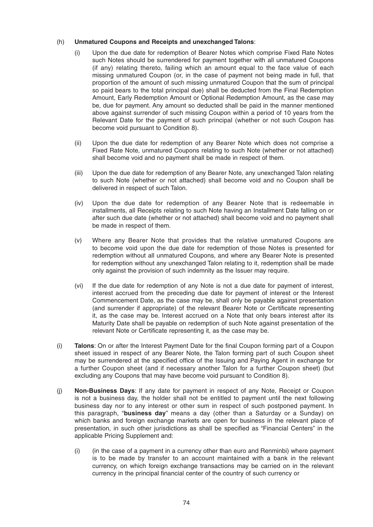# (h) **Unmatured Coupons and Receipts and unexchanged Talons**:

- (i) Upon the due date for redemption of Bearer Notes which comprise Fixed Rate Notes such Notes should be surrendered for payment together with all unmatured Coupons (if any) relating thereto, failing which an amount equal to the face value of each missing unmatured Coupon (or, in the case of payment not being made in full, that proportion of the amount of such missing unmatured Coupon that the sum of principal so paid bears to the total principal due) shall be deducted from the Final Redemption Amount, Early Redemption Amount or Optional Redemption Amount, as the case may be, due for payment. Any amount so deducted shall be paid in the manner mentioned above against surrender of such missing Coupon within a period of 10 years from the Relevant Date for the payment of such principal (whether or not such Coupon has become void pursuant to Condition 8).
- (ii) Upon the due date for redemption of any Bearer Note which does not comprise a Fixed Rate Note, unmatured Coupons relating to such Note (whether or not attached) shall become void and no payment shall be made in respect of them.
- (iii) Upon the due date for redemption of any Bearer Note, any unexchanged Talon relating to such Note (whether or not attached) shall become void and no Coupon shall be delivered in respect of such Talon.
- (iv) Upon the due date for redemption of any Bearer Note that is redeemable in installments, all Receipts relating to such Note having an Installment Date falling on or after such due date (whether or not attached) shall become void and no payment shall be made in respect of them.
- (v) Where any Bearer Note that provides that the relative unmatured Coupons are to become void upon the due date for redemption of those Notes is presented for redemption without all unmatured Coupons, and where any Bearer Note is presented for redemption without any unexchanged Talon relating to it, redemption shall be made only against the provision of such indemnity as the Issuer may require.
- (vi) If the due date for redemption of any Note is not a due date for payment of interest, interest accrued from the preceding due date for payment of interest or the Interest Commencement Date, as the case may be, shall only be payable against presentation (and surrender if appropriate) of the relevant Bearer Note or Certificate representing it, as the case may be. Interest accrued on a Note that only bears interest after its Maturity Date shall be payable on redemption of such Note against presentation of the relevant Note or Certificate representing it, as the case may be.
- (i) **Talons**: On or after the Interest Payment Date for the final Coupon forming part of a Coupon sheet issued in respect of any Bearer Note, the Talon forming part of such Coupon sheet may be surrendered at the specified office of the Issuing and Paying Agent in exchange for a further Coupon sheet (and if necessary another Talon for a further Coupon sheet) (but excluding any Coupons that may have become void pursuant to Condition 8).
- (j) **Non-Business Days**: If any date for payment in respect of any Note, Receipt or Coupon is not a business day, the holder shall not be entitled to payment until the next following business day nor to any interest or other sum in respect of such postponed payment. In this paragraph, "**business day**" means a day (other than a Saturday or a Sunday) on which banks and foreign exchange markets are open for business in the relevant place of presentation, in such other jurisdictions as shall be specified as "Financial Centers" in the applicable Pricing Supplement and:
	- (i) (in the case of a payment in a currency other than euro and Renminbi) where payment is to be made by transfer to an account maintained with a bank in the relevant currency, on which foreign exchange transactions may be carried on in the relevant currency in the principal financial center of the country of such currency or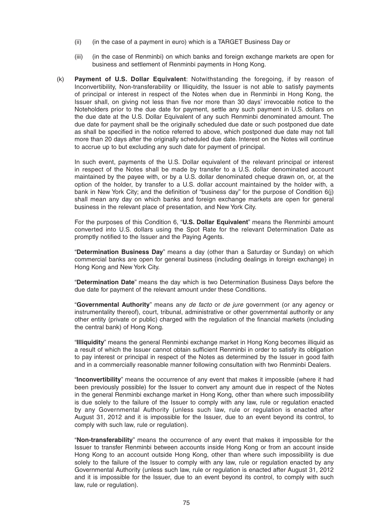- (ii) (in the case of a payment in euro) which is a TARGET Business Day or
- (iii) (in the case of Renminbi) on which banks and foreign exchange markets are open for business and settlement of Renminbi payments in Hong Kong.
- (k) **Payment of U.S. Dollar Equivalent**: Notwithstanding the foregoing, if by reason of Inconvertibility, Non-transferability or Illiquidity, the Issuer is not able to satisfy payments of principal or interest in respect of the Notes when due in Renminbi in Hong Kong, the Issuer shall, on giving not less than five nor more than 30 days' irrevocable notice to the Noteholders prior to the due date for payment, settle any such payment in U.S. dollars on the due date at the U.S. Dollar Equivalent of any such Renminbi denominated amount. The due date for payment shall be the originally scheduled due date or such postponed due date as shall be specified in the notice referred to above, which postponed due date may not fall more than 20 days after the originally scheduled due date. Interest on the Notes will continue to accrue up to but excluding any such date for payment of principal.

 In such event, payments of the U.S. Dollar equivalent of the relevant principal or interest in respect of the Notes shall be made by transfer to a U.S. dollar denominated account maintained by the payee with, or by a U.S. dollar denominated cheque drawn on, or, at the option of the holder, by transfer to a U.S. dollar account maintained by the holder with, a bank in New York City; and the definition of "business day" for the purpose of Condition 6(j) shall mean any day on which banks and foreign exchange markets are open for general business in the relevant place of presentation, and New York City.

 For the purposes of this Condition 6, "**U.S. Dollar Equivalent**" means the Renminbi amount converted into U.S. dollars using the Spot Rate for the relevant Determination Date as promptly notified to the Issuer and the Paying Agents.

 "**Determination Business Day**" means a day (other than a Saturday or Sunday) on which commercial banks are open for general business (including dealings in foreign exchange) in Hong Kong and New York City.

 "**Determination Date**" means the day which is two Determination Business Days before the due date for payment of the relevant amount under these Conditions.

 "**Governmental Authority**" means any *de facto* or *de jure* government (or any agency or instrumentality thereof), court, tribunal, administrative or other governmental authority or any other entity (private or public) charged with the regulation of the financial markets (including the central bank) of Hong Kong.

 "**Illiquidity**" means the general Renminbi exchange market in Hong Kong becomes illiquid as a result of which the Issuer cannot obtain sufficient Renminbi in order to satisfy its obligation to pay interest or principal in respect of the Notes as determined by the Issuer in good faith and in a commercially reasonable manner following consultation with two Renminbi Dealers.

 "**Inconvertibility**" means the occurrence of any event that makes it impossible (where it had been previously possible) for the Issuer to convert any amount due in respect of the Notes in the general Renminbi exchange market in Hong Kong, other than where such impossibility is due solely to the failure of the Issuer to comply with any law, rule or regulation enacted by any Governmental Authority (unless such law, rule or regulation is enacted after August 31, 2012 and it is impossible for the Issuer, due to an event beyond its control, to comply with such law, rule or regulation).

 "**Non-transferability**" means the occurrence of any event that makes it impossible for the Issuer to transfer Renminbi between accounts inside Hong Kong or from an account inside Hong Kong to an account outside Hong Kong, other than where such impossibility is due solely to the failure of the Issuer to comply with any law, rule or regulation enacted by any Governmental Authority (unless such law, rule or regulation is enacted after August 31, 2012 and it is impossible for the Issuer, due to an event beyond its control, to comply with such law, rule or regulation).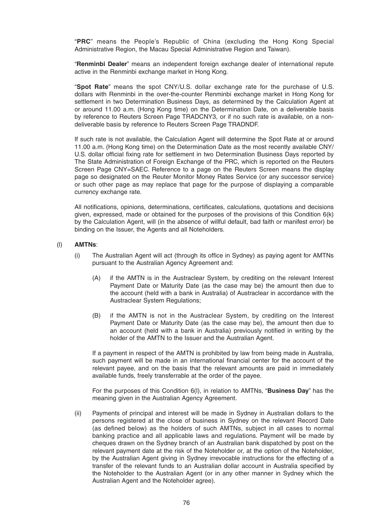"**PRC**" means the People's Republic of China (excluding the Hong Kong Special Administrative Region, the Macau Special Administrative Region and Taiwan).

 "**Renminbi Dealer**" means an independent foreign exchange dealer of international repute active in the Renminbi exchange market in Hong Kong.

 "**Spot Rate**" means the spot CNY/U.S. dollar exchange rate for the purchase of U.S. dollars with Renminbi in the over-the-counter Renminbi exchange market in Hong Kong for settlement in two Determination Business Days, as determined by the Calculation Agent at or around 11.00 a.m. (Hong Kong time) on the Determination Date, on a deliverable basis by reference to Reuters Screen Page TRADCNY3, or if no such rate is available, on a nondeliverable basis by reference to Reuters Screen Page TRADNDF.

 If such rate is not available, the Calculation Agent will determine the Spot Rate at or around 11.00 a.m. (Hong Kong time) on the Determination Date as the most recently available CNY/ U.S. dollar official fixing rate for settlement in two Determination Business Days reported by The State Administration of Foreign Exchange of the PRC, which is reported on the Reuters Screen Page CNY=SAEC. Reference to a page on the Reuters Screen means the display page so designated on the Reuter Monitor Money Rates Service (or any successor service) or such other page as may replace that page for the purpose of displaying a comparable currency exchange rate.

All notifications, opinions, determinations, certificates, calculations, quotations and decisions given, expressed, made or obtained for the purposes of the provisions of this Condition 6(k) by the Calculation Agent, will (in the absence of willful default, bad faith or manifest error) be binding on the Issuer, the Agents and all Noteholders.

#### (l) **AMTNs**:

- (i) The Australian Agent will act (through its office in Sydney) as paying agent for AMTNs pursuant to the Australian Agency Agreement and:
	- (A) if the AMTN is in the Austraclear System, by crediting on the relevant Interest Payment Date or Maturity Date (as the case may be) the amount then due to the account (held with a bank in Australia) of Austraclear in accordance with the Austraclear System Regulations;
	- (B) if the AMTN is not in the Austraclear System, by crediting on the Interest Payment Date or Maturity Date (as the case may be), the amount then due to an account (held with a bank in Australia) previously notified in writing by the holder of the AMTN to the Issuer and the Australian Agent.

 If a payment in respect of the AMTN is prohibited by law from being made in Australia, such payment will be made in an international financial center for the account of the relevant payee, and on the basis that the relevant amounts are paid in immediately available funds, freely transferrable at the order of the payee.

 For the purposes of this Condition 6(l), in relation to AMTNs, "**Business Day**" has the meaning given in the Australian Agency Agreement.

 (ii) Payments of principal and interest will be made in Sydney in Australian dollars to the persons registered at the close of business in Sydney on the relevant Record Date (as defined below) as the holders of such AMTNs, subject in all cases to normal banking practice and all applicable laws and regulations. Payment will be made by cheques drawn on the Sydney branch of an Australian bank dispatched by post on the relevant payment date at the risk of the Noteholder or, at the option of the Noteholder, by the Australian Agent giving in Sydney irrevocable instructions for the effecting of a transfer of the relevant funds to an Australian dollar account in Australia specified by the Noteholder to the Australian Agent (or in any other manner in Sydney which the Australian Agent and the Noteholder agree).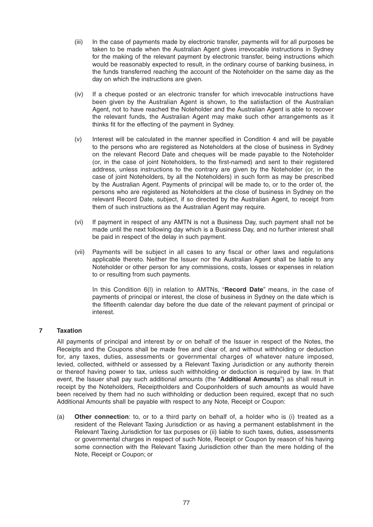- (iii) In the case of payments made by electronic transfer, payments will for all purposes be taken to be made when the Australian Agent gives irrevocable instructions in Sydney for the making of the relevant payment by electronic transfer, being instructions which would be reasonably expected to result, in the ordinary course of banking business, in the funds transferred reaching the account of the Noteholder on the same day as the day on which the instructions are given.
- (iv) If a cheque posted or an electronic transfer for which irrevocable instructions have been given by the Australian Agent is shown, to the satisfaction of the Australian Agent, not to have reached the Noteholder and the Australian Agent is able to recover the relevant funds, the Australian Agent may make such other arrangements as it thinks fit for the effecting of the payment in Sydney.
- $(v)$  Interest will be calculated in the manner specified in Condition 4 and will be payable to the persons who are registered as Noteholders at the close of business in Sydney on the relevant Record Date and cheques will be made payable to the Noteholder (or, in the case of joint Noteholders, to the first-named) and sent to their registered address, unless instructions to the contrary are given by the Noteholder (or, in the case of joint Noteholders, by all the Noteholders) in such form as may be prescribed by the Australian Agent. Payments of principal will be made to, or to the order of, the persons who are registered as Noteholders at the close of business in Sydney on the relevant Record Date, subject, if so directed by the Australian Agent, to receipt from them of such instructions as the Australian Agent may require.
- (vi) If payment in respect of any AMTN is not a Business Day, such payment shall not be made until the next following day which is a Business Day, and no further interest shall be paid in respect of the delay in such payment.
- (vii) Payments will be subject in all cases to any fiscal or other laws and regulations applicable thereto. Neither the Issuer nor the Australian Agent shall be liable to any Noteholder or other person for any commissions, costs, losses or expenses in relation to or resulting from such payments.

 In this Condition 6(l) in relation to AMTNs, "**Record Date**" means, in the case of payments of principal or interest, the close of business in Sydney on the date which is the fifteenth calendar day before the due date of the relevant payment of principal or interest.

# **7 Taxation**

 All payments of principal and interest by or on behalf of the Issuer in respect of the Notes, the Receipts and the Coupons shall be made free and clear of, and without withholding or deduction for, any taxes, duties, assessments or governmental charges of whatever nature imposed, levied, collected, withheld or assessed by a Relevant Taxing Jurisdiction or any authority therein or thereof having power to tax, unless such withholding or deduction is required by law. In that event, the Issuer shall pay such additional amounts (the "**Additional Amounts**") as shall result in receipt by the Noteholders, Receiptholders and Couponholders of such amounts as would have been received by them had no such withholding or deduction been required, except that no such Additional Amounts shall be payable with respect to any Note, Receipt or Coupon:

 (a) **Other connection**: to, or to a third party on behalf of, a holder who is (i) treated as a resident of the Relevant Taxing Jurisdiction or as having a permanent establishment in the Relevant Taxing Jurisdiction for tax purposes or (ii) liable to such taxes, duties, assessments or governmental charges in respect of such Note, Receipt or Coupon by reason of his having some connection with the Relevant Taxing Jurisdiction other than the mere holding of the Note, Receipt or Coupon; or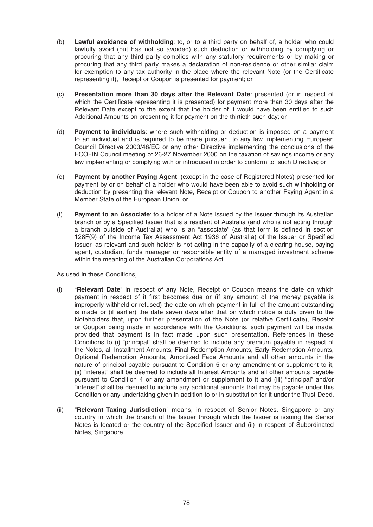- (b) **Lawful avoidance of withholding**: to, or to a third party on behalf of, a holder who could lawfully avoid (but has not so avoided) such deduction or withholding by complying or procuring that any third party complies with any statutory requirements or by making or procuring that any third party makes a declaration of non-residence or other similar claim for exemption to any tax authority in the place where the relevant Note (or the Certificate representing it), Receipt or Coupon is presented for payment; or
- (c) **Presentation more than 30 days after the Relevant Date**: presented (or in respect of which the Certificate representing it is presented) for payment more than 30 days after the Relevant Date except to the extent that the holder of it would have been entitled to such Additional Amounts on presenting it for payment on the thirtieth such day; or
- (d) **Payment to individuals**: where such withholding or deduction is imposed on a payment to an individual and is required to be made pursuant to any law implementing European Council Directive 2003/48/EC or any other Directive implementing the conclusions of the ECOFIN Council meeting of 26-27 November 2000 on the taxation of savings income or any law implementing or complying with or introduced in order to conform to, such Directive; or
- (e) **Payment by another Paying Agent**: (except in the case of Registered Notes) presented for payment by or on behalf of a holder who would have been able to avoid such withholding or deduction by presenting the relevant Note, Receipt or Coupon to another Paying Agent in a Member State of the European Union; or
- (f) **Payment to an Associate**: to a holder of a Note issued by the Issuer through its Australian branch or by a Specified Issuer that is a resident of Australia (and who is not acting through a branch outside of Australia) who is an "associate" (as that term is defined in section 128F(9) of the Income Tax Assessment Act 1936 of Australia) of the Issuer or Specified Issuer, as relevant and such holder is not acting in the capacity of a clearing house, paying agent, custodian, funds manager or responsible entity of a managed investment scheme within the meaning of the Australian Corporations Act.

As used in these Conditions,

- (i) "**Relevant Date**" in respect of any Note, Receipt or Coupon means the date on which payment in respect of it first becomes due or (if any amount of the money payable is improperly withheld or refused) the date on which payment in full of the amount outstanding is made or (if earlier) the date seven days after that on which notice is duly given to the Noteholders that, upon further presentation of the Note (or relative Certificate), Receipt or Coupon being made in accordance with the Conditions, such payment will be made, provided that payment is in fact made upon such presentation. References in these Conditions to (i) "principal" shall be deemed to include any premium payable in respect of the Notes, all Installment Amounts, Final Redemption Amounts, Early Redemption Amounts, Optional Redemption Amounts, Amortized Face Amounts and all other amounts in the nature of principal payable pursuant to Condition 5 or any amendment or supplement to it, (ii) "interest" shall be deemed to include all Interest Amounts and all other amounts payable pursuant to Condition 4 or any amendment or supplement to it and (iii) "principal" and/or "interest" shall be deemed to include any additional amounts that may be payable under this Condition or any undertaking given in addition to or in substitution for it under the Trust Deed.
- (ii) "**Relevant Taxing Jurisdiction**" means, in respect of Senior Notes, Singapore or any country in which the branch of the Issuer through which the Issuer is issuing the Senior Notes is located or the country of the Specified Issuer and (ii) in respect of Subordinated Notes, Singapore.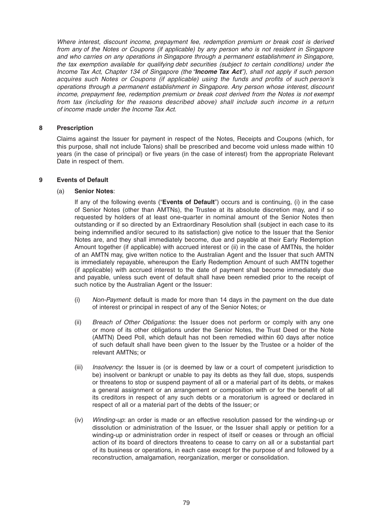*Where interest, discount income, prepayment fee, redemption premium or break cost is derived from any of the Notes or Coupons (if applicable) by any person who is not resident in Singapore and who carries on any operations in Singapore through a permanent establishment in Singapore, the tax exemption available for qualifying debt securities (subject to certain conditions) under the Income Tax Act, Chapter 134 of Singapore (the "Income Tax Act"), shall not apply if such person acquires such Notes or Coupons (if applicable) using the funds and profits of such person's operations through a permanent establishment in Singapore. Any person whose interest, discount income, prepayment fee, redemption premium or break cost derived from the Notes is not exempt from tax (including for the reasons described above) shall include such income in a return of income made under the Income Tax Act.*

# **8 Prescription**

 Claims against the Issuer for payment in respect of the Notes, Receipts and Coupons (which, for this purpose, shall not include Talons) shall be prescribed and become void unless made within 10 years (in the case of principal) or five years (in the case of interest) from the appropriate Relevant Date in respect of them.

### **9 Events of Default**

### (a) **Senior Notes**:

 If any of the following events ("**Events of Default**") occurs and is continuing, (i) in the case of Senior Notes (other than AMTNs), the Trustee at its absolute discretion may, and if so requested by holders of at least one-quarter in nominal amount of the Senior Notes then outstanding or if so directed by an Extraordinary Resolution shall (subject in each case to its being indemnified and/or secured to its satisfaction) give notice to the Issuer that the Senior Notes are, and they shall immediately become, due and payable at their Early Redemption Amount together (if applicable) with accrued interest or (ii) in the case of AMTNs, the holder of an AMTN may, give written notice to the Australian Agent and the Issuer that such AMTN is immediately repayable, whereupon the Early Redemption Amount of such AMTN together (if applicable) with accrued interest to the date of payment shall become immediately due and payable, unless such event of default shall have been remedied prior to the receipt of such notice by the Australian Agent or the Issuer:

- (i) *Non-Payment*: default is made for more than 14 days in the payment on the due date of interest or principal in respect of any of the Senior Notes; or
- (ii) *Breach of Other Obligations*: the Issuer does not perform or comply with any one or more of its other obligations under the Senior Notes, the Trust Deed or the Note (AMTN) Deed Poll, which default has not been remedied within 60 days after notice of such default shall have been given to the Issuer by the Trustee or a holder of the relevant AMTNs; or
- (iii) *Insolvency*: the Issuer is (or is deemed by law or a court of competent jurisdiction to be) insolvent or bankrupt or unable to pay its debts as they fall due, stops, suspends or threatens to stop or suspend payment of all or a material part of its debts, or makes a general assignment or an arrangement or composition with or for the benefit of all its creditors in respect of any such debts or a moratorium is agreed or declared in respect of all or a material part of the debts of the Issuer; or
- (iv) *Winding-up*: an order is made or an effective resolution passed for the winding-up or dissolution or administration of the Issuer, or the Issuer shall apply or petition for a winding-up or administration order in respect of itself or ceases or through an official action of its board of directors threatens to cease to carry on all or a substantial part of its business or operations, in each case except for the purpose of and followed by a reconstruction, amalgamation, reorganization, merger or consolidation.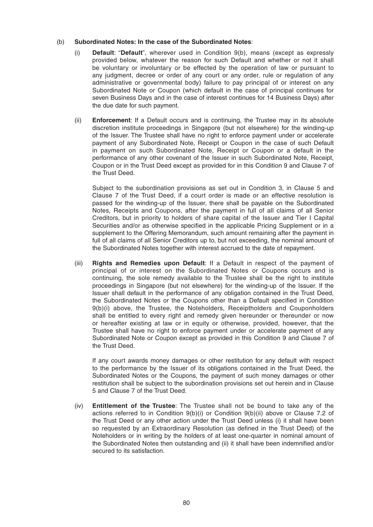### (b) **Subordinated Notes: In the case of the Subordinated Notes**:

- (i) **Default**: "**Default**", wherever used in Condition 9(b), means (except as expressly provided below, whatever the reason for such Default and whether or not it shall be voluntary or involuntary or be effected by the operation of law or pursuant to any judgment, decree or order of any court or any order, rule or regulation of any administrative or governmental body) failure to pay principal of or interest on any Subordinated Note or Coupon (which default in the case of principal continues for seven Business Days and in the case of interest continues for 14 Business Days) after the due date for such payment.
- (ii) **Enforcement**: If a Default occurs and is continuing, the Trustee may in its absolute discretion institute proceedings in Singapore (but not elsewhere) for the winding-up of the Issuer. The Trustee shall have no right to enforce payment under or accelerate payment of any Subordinated Note, Receipt or Coupon in the case of such Default in payment on such Subordinated Note, Receipt or Coupon or a default in the performance of any other covenant of the Issuer in such Subordinated Note, Receipt, Coupon or in the Trust Deed except as provided for in this Condition 9 and Clause 7of the Trust Deed.

Subject to the subordination provisions as set out in Condition 3, in Clause 5 and Clause 7of the Trust Deed, if a court order is made or an effective resolution is passed for the winding-up of the Issuer, there shall be payable on the Subordinated Notes, Receipts and Coupons, after the payment in full of all claims of all Senior Creditors, but in priority to holders of share capital of the Issuer and Tier I Capital Securities and/or as otherwise specified in the applicable Pricing Supplement or in a supplement to the Offering Memorandum, such amount remaining after the payment in full of all claims of all Senior Creditors up to, but not exceeding, the nominal amount of the Subordinated Notes together with interest accrued to the date of repayment.

 (iii) **Rights and Remedies upon Default**: If a Default in respect of the payment of principal of or interest on the Subordinated Notes or Coupons occurs and is continuing, the sole remedy available to the Trustee shall be the right to institute proceedings in Singapore (but not elsewhere) for the winding-up of the Issuer. If the Issuer shall default in the performance of any obligation contained in the Trust Deed, the Subordinated Notes or the Coupons other than a Default specified in Condition 9(b)(i) above, the Trustee, the Noteholders, Receiptholders and Couponholders shall be entitled to every right and remedy given hereunder or thereunder or now or hereafter existing at law or in equity or otherwise, provided, however, that the Trustee shall have no right to enforce payment under or accelerate payment of any Subordinated Note or Coupon except as provided in this Condition 9 and Clause 7 of the Trust Deed.

 If any court awards money damages or other restitution for any default with respect to the performance by the Issuer of its obligations contained in the Trust Deed, the Subordinated Notes or the Coupons, the payment of such money damages or other restitution shall be subject to the subordination provisions set out herein and in Clause 5and Clause 7of the Trust Deed.

 (iv) **Entitlement of the Trustee**: The Trustee shall not be bound to take any of the actions referred to in Condition  $9(b)(i)$  or Condition  $9(b)(ii)$  above or Clause 7.2 of the Trust Deed or any other action under the Trust Deed unless (i) it shall have been so requested by an Extraordinary Resolution (as defined in the Trust Deed) of the Noteholders or in writing by the holders of at least one-quarter in nominal amount of the Subordinated Notes then outstanding and (ii) it shall have been indemnified and/or secured to its satisfaction.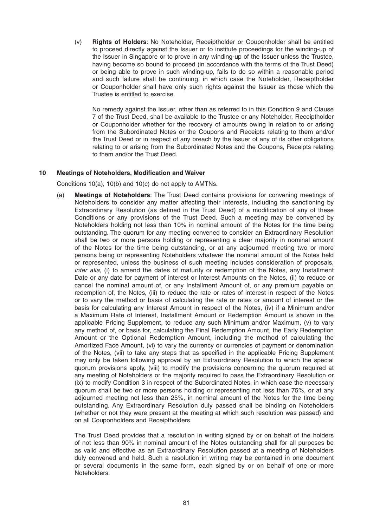(v) **Rights of Holders**: No Noteholder, Receiptholder or Couponholder shall be entitled to proceed directly against the Issuer or to institute proceedings for the winding-up of the Issuer in Singapore or to prove in any winding-up of the Issuer unless the Trustee, having become so bound to proceed (in accordance with the terms of the Trust Deed) or being able to prove in such winding-up, fails to do so within a reasonable period and such failure shall be continuing, in which case the Noteholder, Receiptholder or Couponholder shall have only such rights against the Issuer as those which the Trustee is entitled to exercise.

 No remedy against the Issuer, other than as referred to in this Condition 9 and Clause 7of the Trust Deed, shall be available to the Trustee or any Noteholder, Receiptholder or Couponholder whether for the recovery of amounts owing in relation to or arising from the Subordinated Notes or the Coupons and Receipts relating to them and/or the Trust Deed or in respect of any breach by the Issuer of any of its other obligations relating to or arising from the Subordinated Notes and the Coupons, Receipts relating to them and/or the Trust Deed.

### 10 Meetings of Noteholders, Modification and Waiver

Conditions 10(a), 10(b) and 10(c) do not apply to AMTNs.

 (a) **Meetings of Noteholders**: The Trust Deed contains provisions for convening meetings of Noteholders to consider any matter affecting their interests, including the sanctioning by Extraordinary Resolution (as defined in the Trust Deed) of a modification of any of these Conditions or any provisions of the Trust Deed. Such a meeting may be convened by Noteholders holding not less than 10% in nominal amount of the Notes for the time being outstanding. The quorum for any meeting convened to consider an Extraordinary Resolution shall be two or more persons holding or representing a clear majority in nominal amount of the Notes for the time being outstanding, or at any adjourned meeting two or more persons being or representing Noteholders whatever the nominal amount of the Notes held or represented, unless the business of such meeting includes consideration of proposals, *inter alia*, (i) to amend the dates of maturity or redemption of the Notes, any Installment Date or any date for payment of interest or Interest Amounts on the Notes, (ii) to reduce or cancel the nominal amount of, or any Installment Amount of, or any premium payable on redemption of, the Notes, (iii) to reduce the rate or rates of interest in respect of the Notes or to vary the method or basis of calculating the rate or rates or amount of interest or the basis for calculating any Interest Amount in respect of the Notes, (iv) if a Minimum and/or a Maximum Rate of Interest, Installment Amount or Redemption Amount is shown in the applicable Pricing Supplement, to reduce any such Minimum and/or Maximum, (v) to vary any method of, or basis for, calculating the Final Redemption Amount, the Early Redemption Amount or the Optional Redemption Amount, including the method of calculating the Amortized Face Amount, (vi) to vary the currency or currencies of payment or denomination of the Notes, (vii) to take any steps that as specified in the applicable Pricing Supplement may only be taken following approval by an Extraordinary Resolution to which the special quorum provisions apply, (viii) to modify the provisions concerning the quorum required at any meeting of Noteholders or the majority required to pass the Extraordinary Resolution or (ix) to modify Condition 3 in respect of the Subordinated Notes, in which case the necessary quorum shall be two or more persons holding or representing not less than 75%, or at any adjourned meeting not less than 25%, in nominal amount of the Notes for the time being outstanding. Any Extraordinary Resolution duly passed shall be binding on Noteholders (whether or not they were present at the meeting at which such resolution was passed) and on all Couponholders and Receiptholders.

 The Trust Deed provides that a resolution in writing signed by or on behalf of the holders of not less than 90% in nominal amount of the Notes outstanding shall for all purposes be as valid and effective as an Extraordinary Resolution passed at a meeting of Noteholders duly convened and held. Such a resolution in writing may be contained in one document or several documents in the same form, each signed by or on behalf of one or more Noteholders.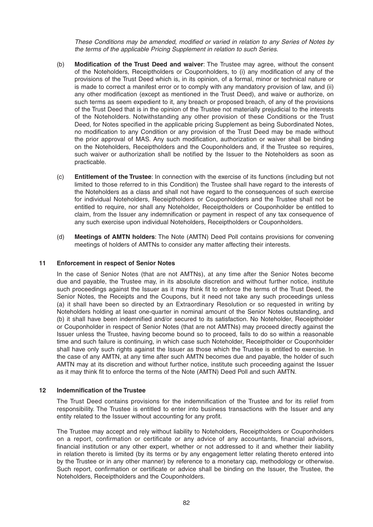*These Conditions may be amended, modified or varied in relation to any Series of Notes by the terms of the applicable Pricing Supplement in relation to such Series*.

- (b) **Modification of the Trust Deed and waiver**: The Trustee may agree, without the consent of the Noteholders, Receiptholders or Couponholders, to (i) any modification of any of the provisions of the Trust Deed which is, in its opinion, of a formal, minor or technical nature or is made to correct a manifest error or to comply with any mandatory provision of law, and (ii) any other modification (except as mentioned in the Trust Deed), and waive or authorize, on such terms as seem expedient to it, any breach or proposed breach, of any of the provisions of the Trust Deed that is in the opinion of the Trustee not materially prejudicial to the interests of the Noteholders. Notwithstanding any other provision of these Conditions or the Trust Deed, for Notes specified in the applicable pricing Supplement as being Subordinated Notes, no modification to any Condition or any provision of the Trust Deed may be made without the prior approval of MAS. Any such modification, authorization or waiver shall be binding on the Noteholders, Receiptholders and the Couponholders and, if the Trustee so requires, such waiver or authorization shall be notified by the Issuer to the Noteholders as soon as practicable.
- (c) **Entitlement of the Trustee**: In connection with the exercise of its functions (including but not limited to those referred to in this Condition) the Trustee shall have regard to the interests of the Noteholders as a class and shall not have regard to the consequences of such exercise for individual Noteholders, Receiptholders or Couponholders and the Trustee shall not be entitled to require, nor shall any Noteholder, Receiptholders or Couponholder be entitled to claim, from the Issuer any indemnification or payment in respect of any tax consequence of any such exercise upon individual Noteholders, Receiptholders or Couponholders.
- (d) **Meetings of AMTN holders**: The Note (AMTN) Deed Poll contains provisions for convening meetings of holders of AMTNs to consider any matter affecting their interests.

#### **11 Enforcement in respect of Senior Notes**

 In the case of Senior Notes (that are not AMTNs), at any time after the Senior Notes become due and payable, the Trustee may, in its absolute discretion and without further notice, institute such proceedings against the Issuer as it may think fit to enforce the terms of the Trust Deed, the Senior Notes, the Receipts and the Coupons, but it need not take any such proceedings unless (a) it shall have been so directed by an Extraordinary Resolution or so requested in writing by Noteholders holding at least one-quarter in nominal amount of the Senior Notes outstanding, and (b) it shall have been indemnified and/or secured to its satisfaction. No Noteholder, Receiptholder or Couponholder in respect of Senior Notes (that are not AMTNs) may proceed directly against the Issuer unless the Trustee, having become bound so to proceed, fails to do so within a reasonable time and such failure is continuing, in which case such Noteholder, Receiptholder or Couponholder shall have only such rights against the Issuer as those which the Trustee is entitled to exercise. In the case of any AMTN, at any time after such AMTN becomes due and payable, the holder of such AMTN may at its discretion and without further notice, institute such proceeding against the Issuer as it may think fit to enforce the terms of the Note (AMTN) Deed Poll and such AMTN.

#### **12** Indemnification of the Trustee

The Trust Deed contains provisions for the indemnification of the Trustee and for its relief from responsibility. The Trustee is entitled to enter into business transactions with the Issuer and any entity related to the Issuer without accounting for any profit.

 The Trustee may accept and rely without liability to Noteholders, Receiptholders or Couponholders on a report, confirmation or certificate or any advice of any accountants, financial advisors, financial institution or any other expert, whether or not addressed to it and whether their liability in relation thereto is limited (by its terms or by any engagement letter relating thereto entered into by the Trustee or in any other manner) by reference to a monetary cap, methodology or otherwise. Such report, confirmation or certificate or advice shall be binding on the Issuer, the Trustee, the Noteholders, Receiptholders and the Couponholders.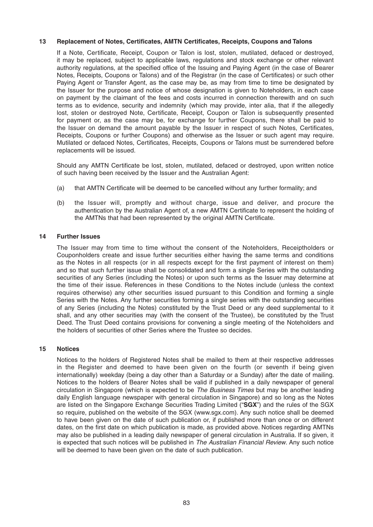### 13 Replacement of Notes, Certificates, AMTN Certificates, Receipts, Coupons and Talons

If a Note, Certificate, Receipt, Coupon or Talon is lost, stolen, mutilated, defaced or destroyed, it may be replaced, subject to applicable laws, regulations and stock exchange or other relevant authority regulations, at the specified office of the Issuing and Paying Agent (in the case of Bearer Notes, Receipts, Coupons or Talons) and of the Registrar (in the case of Certificates) or such other Paying Agent or Transfer Agent, as the case may be, as may from time to time be designated by the Issuer for the purpose and notice of whose designation is given to Noteholders, in each case on payment by the claimant of the fees and costs incurred in connection therewith and on such terms as to evidence, security and indemnity (which may provide, inter alia, that if the allegedly lost, stolen or destroyed Note, Certificate, Receipt, Coupon or Talon is subsequently presented for payment or, as the case may be, for exchange for further Coupons, there shall be paid to the Issuer on demand the amount payable by the Issuer in respect of such Notes, Certificates, Receipts, Coupons or further Coupons) and otherwise as the Issuer or such agent may require. Mutilated or defaced Notes, Certificates, Receipts, Coupons or Talons must be surrendered before replacements will be issued.

Should any AMTN Certificate be lost, stolen, mutilated, defaced or destroyed, upon written notice of such having been received by the Issuer and the Australian Agent:

- (a) that AMTN Certificate will be deemed to be cancelled without any further formality; and
- (b) the Issuer will, promptly and without charge, issue and deliver, and procure the authentication by the Australian Agent of, a new AMTN Certificate to represent the holding of the AMTNs that had been represented by the original AMTN Certificate.

### **14 Further Issues**

 The Issuer may from time to time without the consent of the Noteholders, Receiptholders or Couponholders create and issue further securities either having the same terms and conditions as the Notes in all respects (or in all respects except for the first payment of interest on them) and so that such further issue shall be consolidated and form a single Series with the outstanding securities of any Series (including the Notes) or upon such terms as the Issuer may determine at the time of their issue. References in these Conditions to the Notes include (unless the context requires otherwise) any other securities issued pursuant to this Condition and forming a single Series with the Notes. Any further securities forming a single series with the outstanding securities of any Series (including the Notes) constituted by the Trust Deed or any deed supplemental to it shall, and any other securities may (with the consent of the Trustee), be constituted by the Trust Deed. The Trust Deed contains provisions for convening a single meeting of the Noteholders and the holders of securities of other Series where the Trustee so decides.

#### **15 Notices**

 Notices to the holders of Registered Notes shall be mailed to them at their respective addresses in the Register and deemed to have been given on the fourth (or seventh if being given internationally) weekday (being a day other than a Saturday or a Sunday) after the date of mailing. Notices to the holders of Bearer Notes shall be valid if published in a daily newspaper of general circulation in Singapore (which is expected to be *The Business Times* but may be another leading daily English language newspaper with general circulation in Singapore) and so long as the Notes are listed on the Singapore Exchange Securities Trading Limited ("**SGX**") and the rules of the SGX so require, published on the website of the SGX (www.sgx.com). Any such notice shall be deemed to have been given on the date of such publication or, if published more than once or on different dates, on the first date on which publication is made, as provided above. Notices regarding AMTNs may also be published in a leading daily newspaper of general circulation in Australia. If so given, it is expected that such notices will be published in *The Australian Financial Review*. Any such notice will be deemed to have been given on the date of such publication.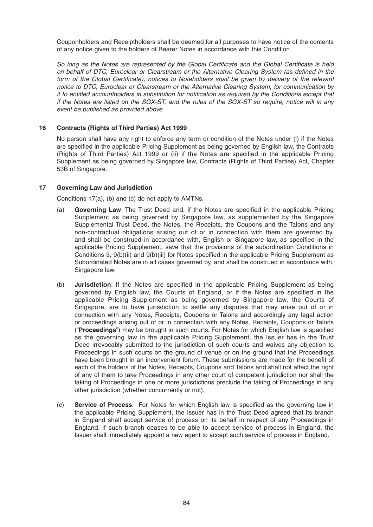Couponholders and Receiptholders shall be deemed for all purposes to have notice of the contents of any notice given to the holders of Bearer Notes in accordance with this Condition.

So long as the Notes are represented by the Global Certificate and the Global Certificate is held on behalf of DTC, Euroclear or Clearstream or the Alternative Clearing System (as defined in the form of the Global Certificate), notices to Noteholders shall be given by delivery of the relevant *notice to DTC, Euroclear or Clearstream or the Alternative Clearing System, for communication by it to entitled accountholders in substitution for notification as required by the Conditions except that if the Notes are listed on the SGX-ST, and the rules of the SGX-ST so require, notice will in any event be published as provided above.*

# **16 Contracts (Rights of Third Parties) Act 1999**

 No person shall have any right to enforce any term or condition of the Notes under (i) if the Notes are specified in the applicable Pricing Supplement as being governed by English law, the Contracts (Rights of Third Parties) Act 1999 or (ii) if the Notes are specified in the applicable Pricing Supplement as being governed by Singapore law, Contracts (Rights of Third Parties) Act, Chapter 53B of Singapore.

### **17 Governing Law and Jurisdiction**

Conditions 17(a), (b) and (c) do not apply to AMTNs.

- (a) **Governing Law**: The Trust Deed and, if the Notes are specified in the applicable Pricing Supplement as being governed by Singapore law, as supplemented by the Singapore Supplemental Trust Deed , the Notes, the Receipts, the Coupons and the Talons and any non-contractual obligations arising out of or in connection with them are governed by, and shall be construed in accordance with, English or Singapore law, as specified in the applicable Pricing Supplement, save that the provisions of the subordination Conditions in Conditions 3, 9(b)(ii) and 9(b)(iii) for Notes specified in the applicable Pricing Supplement as Subordinated Notes are in all cases governed by, and shall be construed in accordance with, Singapore law.
- (b) **Jurisdiction**: If the Notes are specified in the applicable Pricing Supplement as being governed by English law, the Courts of England, or if the Notes are specified in the applicable Pricing Supplement as being governed by Singapore law, the Courts of Singapore, are to have jurisdiction to settle any disputes that may arise out of or in connection with any Notes, Receipts, Coupons or Talons and accordingly any legal action or proceedings arising out of or in connection with any Notes, Receipts, Coupons or Talons (**"Proceedings**") may be brought in such courts. For Notes for which English law is specified as the governing law in the applicable Pricing Supplement, the Issuer has in the Trust Deed irrevocably submitted to the jurisdiction of such courts and waives any objection to Proceedings in such courts on the ground of venue or on the ground that the Proceedings have been brought in an inconvenient forum. These submissions are made for the benefit of each of the holders of the Notes, Receipts, Coupons and Talons and shall not affect the right of any of them to take Proceedings in any other court of competent jurisdiction nor shall the taking of Proceedings in one or more jurisdictions preclude the taking of Proceedings in any other jurisdiction (whether concurrently or not).
- (c) **Service of Process**: For Notes for which English law is specified as the governing law in the applicable Pricing Supplement, the Issuer has in the Trust Deed agreed that its branch in England shall accept service of process on its behalf in respect of any Proceedings in England. If such branch ceases to be able to accept service of process in England, the Issuer shall immediately appoint a new agent to accept such service of process in England.